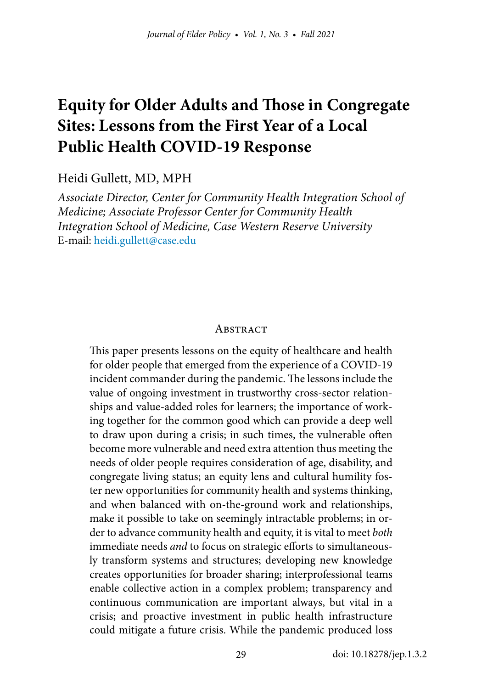# **Equity for Older Adults and Those in Congregate Sites: Lessons from the First Year of a Local Public Health COVID-19 Response**

#### Heidi Gullett, MD, MPH

*Associate Director, Center for Community Health Integration School of Medicine; Associate Professor Center for Community Health Integration School of Medicine, Case Western Reserve University* E-mail: [heidi.gullett@case.edu](mailto:heidi.gullett%40case.edu?subject=)

#### **ABSTRACT**

This paper presents lessons on the equity of healthcare and health for older people that emerged from the experience of a COVID-19 incident commander during the pandemic. The lessons include the value of ongoing investment in trustworthy cross-sector relationships and value-added roles for learners; the importance of working together for the common good which can provide a deep well to draw upon during a crisis; in such times, the vulnerable often become more vulnerable and need extra attention thus meeting the needs of older people requires consideration of age, disability, and congregate living status; an equity lens and cultural humility foster new opportunities for community health and systems thinking, and when balanced with on-the-ground work and relationships, make it possible to take on seemingly intractable problems; in order to advance community health and equity, it is vital to meet *both* immediate needs *and* to focus on strategic efforts to simultaneously transform systems and structures; developing new knowledge creates opportunities for broader sharing; interprofessional teams enable collective action in a complex problem; transparency and continuous communication are important always, but vital in a crisis; and proactive investment in public health infrastructure could mitigate a future crisis. While the pandemic produced loss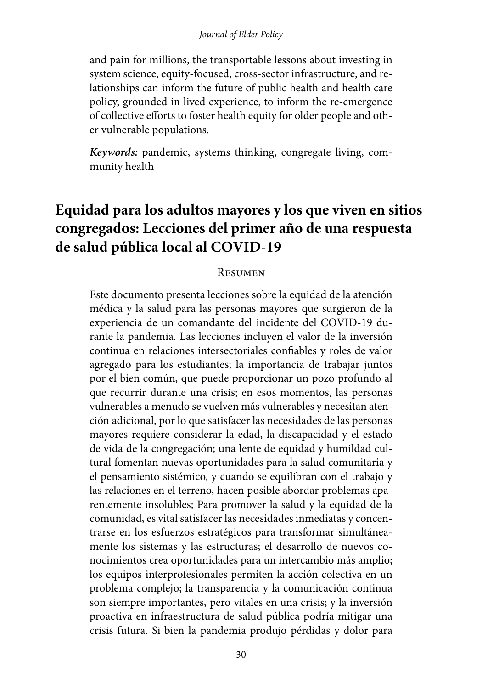and pain for millions, the transportable lessons about investing in system science, equity-focused, cross-sector infrastructure, and relationships can inform the future of public health and health care policy, grounded in lived experience, to inform the re-emergence of collective efforts to foster health equity for older people and other vulnerable populations.

*Keywords:* pandemic, systems thinking, congregate living, community health

# **Equidad para los adultos mayores y los que viven en sitios congregados: Lecciones del primer año de una respuesta de salud pública local al COVID-19**

#### Resumen

Este documento presenta lecciones sobre la equidad de la atención médica y la salud para las personas mayores que surgieron de la experiencia de un comandante del incidente del COVID-19 durante la pandemia. Las lecciones incluyen el valor de la inversión continua en relaciones intersectoriales confiables y roles de valor agregado para los estudiantes; la importancia de trabajar juntos por el bien común, que puede proporcionar un pozo profundo al que recurrir durante una crisis; en esos momentos, las personas vulnerables a menudo se vuelven más vulnerables y necesitan atención adicional, por lo que satisfacer las necesidades de las personas mayores requiere considerar la edad, la discapacidad y el estado de vida de la congregación; una lente de equidad y humildad cultural fomentan nuevas oportunidades para la salud comunitaria y el pensamiento sistémico, y cuando se equilibran con el trabajo y las relaciones en el terreno, hacen posible abordar problemas aparentemente insolubles; Para promover la salud y la equidad de la comunidad, es vital satisfacer las necesidades inmediatas y concentrarse en los esfuerzos estratégicos para transformar simultáneamente los sistemas y las estructuras; el desarrollo de nuevos conocimientos crea oportunidades para un intercambio más amplio; los equipos interprofesionales permiten la acción colectiva en un problema complejo; la transparencia y la comunicación continua son siempre importantes, pero vitales en una crisis; y la inversión proactiva en infraestructura de salud pública podría mitigar una crisis futura. Si bien la pandemia produjo pérdidas y dolor para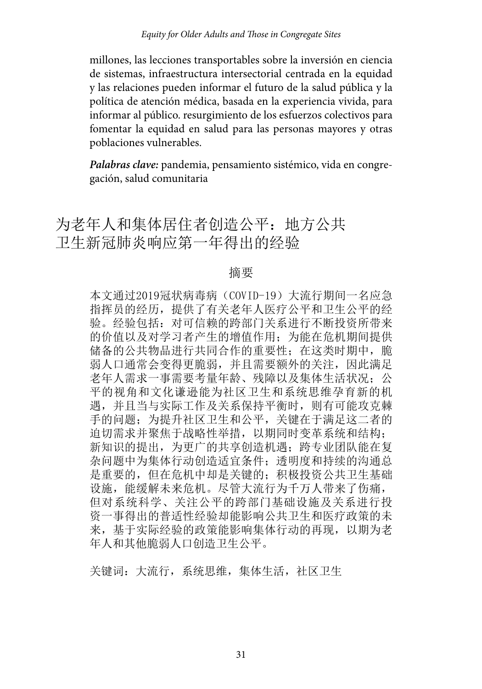millones, las lecciones transportables sobre la inversión en ciencia de sistemas, infraestructura intersectorial centrada en la equidad y las relaciones pueden informar el futuro de la salud pública y la política de atención médica, basada en la experiencia vivida, para informar al público. resurgimiento de los esfuerzos colectivos para fomentar la equidad en salud para las personas mayores y otras poblaciones vulnerables.

*Palabras clave:* pandemia, pensamiento sistémico, vida en congregación, salud comunitaria

为老年人和集体居住者创造公平:地方公共 卫生新冠肺炎响应第一年得出的经验

#### 摘要

本文通过2019冠状病毒病(COVID-19)大流行期间一名应急 指挥员的经历,提供了有关老年人医疗公平和卫生公平的经 验。经验包括:对可信赖的跨部门关系进行不断投资所带来 的价值以及对学习者产生的增值作用;为能在危机期间提供 储备的公共物品进行共同合作的重要性;在这类时期中,脆 弱人口通常会变得更脆弱,并且需要额外的关注,因此满足 老年人需求一事需要考量年龄、残障以及集体生活状况;公 平的视角和文化谦逊能为社区卫生和系统思维孕育新的机 遇,并且当与实际工作及关系保持平衡时,则有可能攻克棘 手的问题;为提升社区卫生和公平,关键在于满足这二者的 迫切需求并聚焦于战略性举措,以期同时变革系统和结构; 新知识的提出,为更广的共享创造机遇: 跨专业团队能在复 杂问题中为集体行动创造适宜条件;透明度和持续的沟通总 是重要的,但在危机中却是关键的;积极投资公共卫生基础 设施, 能缓解未来危机。尽管大流行为千万人带来了伤痛, 但对系统科学、关注公平的跨部门基础设施及关系进行投 资一事得出的普适性经验却能影响公共卫生和医疗政策的未 来,基于实际经验的政策能影响集体行动的再现,以期为老 年人和其他脆弱人口创造卫生公平。

关键词:大流行,系统思维,集体生活,社区卫生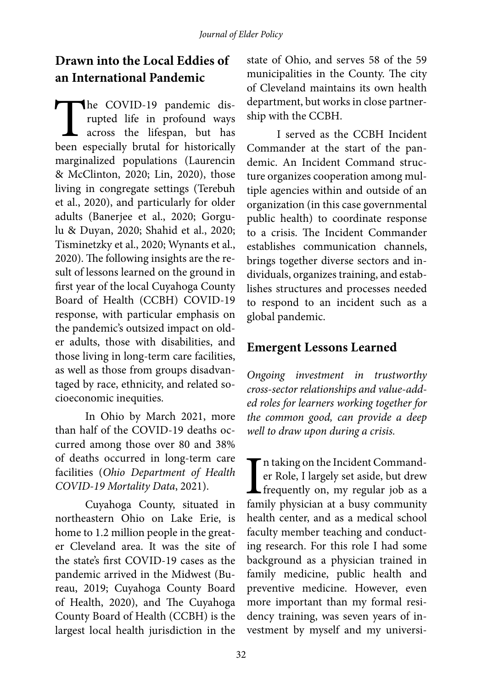# **Drawn into the Local Eddies of an International Pandemic**

The COVID-19 pandemic dis-<br>rupted life in profound ways<br>across the lifespan, but has<br>been especially brutal for historically rupted life in profound ways across the lifespan, but has been especially brutal for historically marginalized populations (Laurencin & McClinton, 2020; Lin, 2020), those living in congregate settings (Terebuh et al., 2020), and particularly for older adults (Banerjee et al., 2020; Gorgulu & Duyan, 2020; Shahid et al., 2020; Tisminetzky et al., 2020; Wynants et al., 2020). The following insights are the result of lessons learned on the ground in first year of the local Cuyahoga County Board of Health (CCBH) COVID-19 response, with particular emphasis on the pandemic's outsized impact on older adults, those with disabilities, and those living in long-term care facilities, as well as those from groups disadvantaged by race, ethnicity, and related socioeconomic inequities.

In Ohio by March 2021, more than half of the COVID-19 deaths occurred among those over 80 and 38% of deaths occurred in long-term care facilities (*Ohio Department of Health COVID-19 Mortality Data*, 2021).

Cuyahoga County, situated in northeastern Ohio on Lake Erie, is home to 1.2 million people in the greater Cleveland area. It was the site of the state's first COVID-19 cases as the pandemic arrived in the Midwest (Bureau, 2019; Cuyahoga County Board of Health, 2020), and The Cuyahoga County Board of Health (CCBH) is the largest local health jurisdiction in the

state of Ohio, and serves 58 of the 59 municipalities in the County. The city of Cleveland maintains its own health department, but works in close partnership with the CCBH.

I served as the CCBH Incident Commander at the start of the pandemic. An Incident Command structure organizes cooperation among multiple agencies within and outside of an organization (in this case governmental public health) to coordinate response to a crisis. The Incident Commander establishes communication channels, brings together diverse sectors and individuals, organizes training, and establishes structures and processes needed to respond to an incident such as a global pandemic.

# **Emergent Lessons Learned**

*Ongoing investment in trustworthy cross-sector relationships and value-added roles for learners working together for the common good, can provide a deep well to draw upon during a crisis.* 

 $\prod$ fam n taking on the Incident Commander Role, I largely set aside, but drew frequently on, my regular job as a family physician at a busy community health center, and as a medical school faculty member teaching and conducting research. For this role I had some background as a physician trained in family medicine, public health and preventive medicine. However, even more important than my formal residency training, was seven years of investment by myself and my universi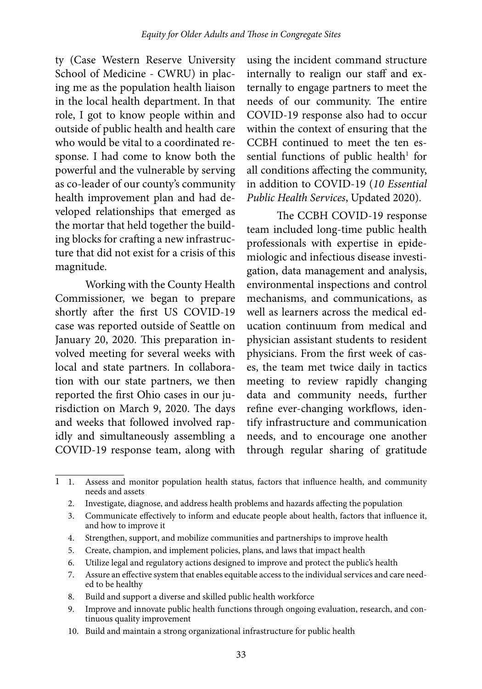ty (Case Western Reserve University School of Medicine - CWRU) in placing me as the population health liaison in the local health department. In that role, I got to know people within and outside of public health and health care who would be vital to a coordinated response. I had come to know both the powerful and the vulnerable by serving as co-leader of our county's community health improvement plan and had developed relationships that emerged as the mortar that held together the building blocks for crafting a new infrastructure that did not exist for a crisis of this magnitude.

Working with the County Health Commissioner, we began to prepare shortly after the first US COVID-19 case was reported outside of Seattle on January 20, 2020. This preparation involved meeting for several weeks with local and state partners. In collaboration with our state partners, we then reported the first Ohio cases in our jurisdiction on March 9, 2020. The days and weeks that followed involved rapidly and simultaneously assembling a COVID-19 response team, along with

using the incident command structure internally to realign our staff and externally to engage partners to meet the needs of our community. The entire COVID-19 response also had to occur within the context of ensuring that the CCBH continued to meet the ten essential functions of public health<sup>1</sup> for all conditions affecting the community, in addition to COVID-19 (*10 Essential Public Health Services*, Updated 2020).

The CCBH COVID-19 response team included long-time public health professionals with expertise in epidemiologic and infectious disease investigation, data management and analysis, environmental inspections and control mechanisms, and communications, as well as learners across the medical education continuum from medical and physician assistant students to resident physicians. From the first week of cases, the team met twice daily in tactics meeting to review rapidly changing data and community needs, further refine ever-changing workflows, identify infrastructure and communication needs, and to encourage one another through regular sharing of gratitude

2. Investigate, diagnose, and address health problems and hazards affecting the population

- 4. Strengthen, support, and mobilize communities and partnerships to improve health
- 5. Create, champion, and implement policies, plans, and laws that impact health
- 6. Utilize legal and regulatory actions designed to improve and protect the public's health
- 7. Assure an effective system that enables equitable access to the individual services and care needed to be healthy
- 8. Build and support a diverse and skilled public health workforce
- 9. Improve and innovate public health functions through ongoing evaluation, research, and continuous quality improvement
- 10. Build and maintain a strong organizational infrastructure for public health

Assess and monitor population health status, factors that influence health, and community needs and assets  $1 \quad 1.$ 

<sup>3.</sup> Communicate effectively to inform and educate people about health, factors that influence it, and how to improve it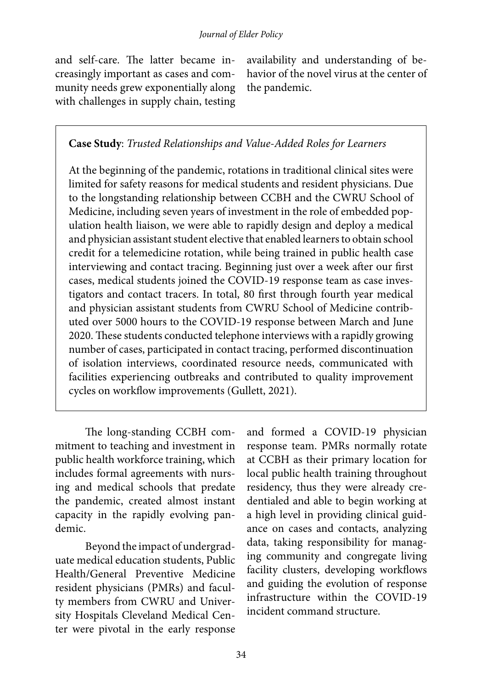and self-care. The latter became increasingly important as cases and community needs grew exponentially along with challenges in supply chain, testing

availability and understanding of behavior of the novel virus at the center of the pandemic.

#### **Case Study**: *Trusted Relationships and Value-Added Roles for Learners*

At the beginning of the pandemic, rotations in traditional clinical sites were limited for safety reasons for medical students and resident physicians. Due to the longstanding relationship between CCBH and the CWRU School of Medicine, including seven years of investment in the role of embedded population health liaison, we were able to rapidly design and deploy a medical and physician assistant student elective that enabled learners to obtain school credit for a telemedicine rotation, while being trained in public health case interviewing and contact tracing. Beginning just over a week after our first cases, medical students joined the COVID-19 response team as case investigators and contact tracers. In total, 80 first through fourth year medical and physician assistant students from CWRU School of Medicine contributed over 5000 hours to the COVID-19 response between March and June 2020. These students conducted telephone interviews with a rapidly growing number of cases, participated in contact tracing, performed discontinuation of isolation interviews, coordinated resource needs, communicated with facilities experiencing outbreaks and contributed to quality improvement cycles on workflow improvements (Gullett, 2021).

The long-standing CCBH commitment to teaching and investment in public health workforce training, which includes formal agreements with nursing and medical schools that predate the pandemic, created almost instant capacity in the rapidly evolving pandemic.

Beyond the impact of undergraduate medical education students, Public Health/General Preventive Medicine resident physicians (PMRs) and faculty members from CWRU and University Hospitals Cleveland Medical Center were pivotal in the early response

and formed a COVID-19 physician response team. PMRs normally rotate at CCBH as their primary location for local public health training throughout residency, thus they were already credentialed and able to begin working at a high level in providing clinical guidance on cases and contacts, analyzing data, taking responsibility for managing community and congregate living facility clusters, developing workflows and guiding the evolution of response infrastructure within the COVID-19 incident command structure.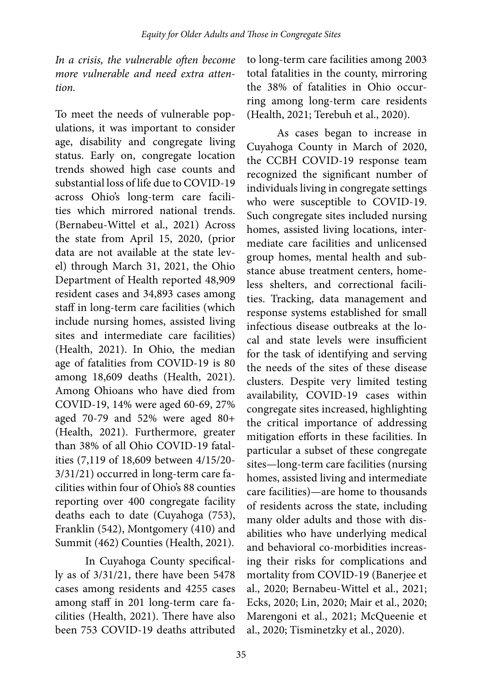*In a crisis, the vulnerable often become more vulnerable and need extra attention.* 

To meet the needs of vulnerable populations, it was important to consider age, disability and congregate living status. Early on, congregate location trends showed high case counts and substantial loss of life due to COVID-19 across Ohio's long-term care facilities which mirrored national trends. (Bernabeu-Wittel et al., 2021) Across the state from April 15, 2020, (prior data are not available at the state level) through March 31, 2021, the Ohio Department of Health reported 48,909 resident cases and 34,893 cases among staff in long-term care facilities (which include nursing homes, assisted living sites and intermediate care facilities) (Health, 2021). In Ohio, the median age of fatalities from COVID-19 is 80 among 18,609 deaths (Health, 2021). Among Ohioans who have died from COVID-19, 14% were aged 60-69, 27% aged 70-79 and 52% were aged 80+ (Health, 2021). Furthermore, greater than 38% of all Ohio COVID-19 fatalities (7,119 of 18,609 between 4/15/20- 3/31/21) occurred in long-term care facilities within four of Ohio's 88 counties reporting over 400 congregate facility deaths each to date (Cuyahoga (753), Franklin (542), Montgomery (410) and Summit (462) Counties (Health, 2021).

In Cuyahoga County specifically as of 3/31/21, there have been 5478 cases among residents and 4255 cases among staff in 201 long-term care facilities (Health, 2021). There have also been 753 COVID-19 deaths attributed

to long-term care facilities among 2003 total fatalities in the county, mirroring the 38% of fatalities in Ohio occurring among long-term care residents (Health, 2021; Terebuh et al., 2020).

As cases began to increase in Cuyahoga County in March of 2020, the CCBH COVID-19 response team recognized the significant number of individuals living in congregate settings who were susceptible to COVID-19. Such congregate sites included nursing homes, assisted living locations, intermediate care facilities and unlicensed group homes, mental health and substance abuse treatment centers, homeless shelters, and correctional facilities. Tracking, data management and response systems established for small infectious disease outbreaks at the local and state levels were insufficient for the task of identifying and serving the needs of the sites of these disease clusters. Despite very limited testing availability, COVID-19 cases within congregate sites increased, highlighting the critical importance of addressing mitigation efforts in these facilities. In particular a subset of these congregate sites—long-term care facilities (nursing homes, assisted living and intermediate care facilities)—are home to thousands of residents across the state, including many older adults and those with disabilities who have underlying medical and behavioral co-morbidities increasing their risks for complications and mortality from COVID-19 (Banerjee et al., 2020; Bernabeu-Wittel et al., 2021; Ecks, 2020; Lin, 2020; Mair et al., 2020; Marengoni et al., 2021; McQueenie et al., 2020; Tisminetzky et al., 2020).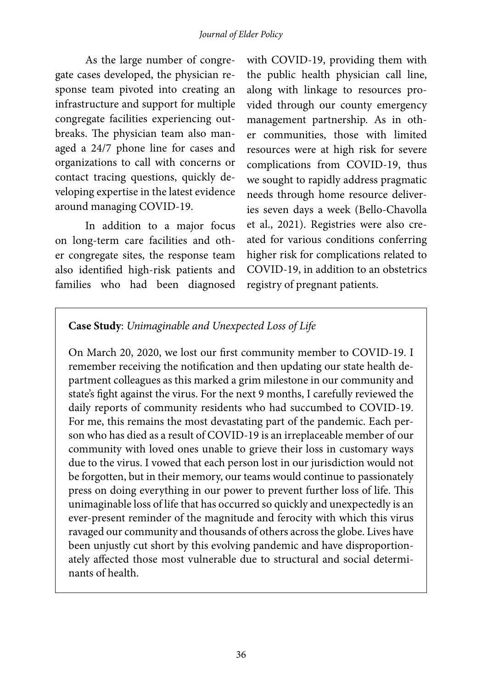#### *Journal of Elder Policy*

As the large number of congregate cases developed, the physician response team pivoted into creating an infrastructure and support for multiple congregate facilities experiencing outbreaks. The physician team also managed a 24/7 phone line for cases and organizations to call with concerns or contact tracing questions, quickly developing expertise in the latest evidence around managing COVID-19.

In addition to a major focus on long-term care facilities and other congregate sites, the response team also identified high-risk patients and families who had been diagnosed

with COVID-19, providing them with the public health physician call line, along with linkage to resources provided through our county emergency management partnership. As in other communities, those with limited resources were at high risk for severe complications from COVID-19, thus we sought to rapidly address pragmatic needs through home resource deliveries seven days a week (Bello-Chavolla et al., 2021). Registries were also created for various conditions conferring higher risk for complications related to COVID-19, in addition to an obstetrics registry of pregnant patients.

#### **Case Study**: *Unimaginable and Unexpected Loss of Life*

On March 20, 2020, we lost our first community member to COVID-19. I remember receiving the notification and then updating our state health department colleagues as this marked a grim milestone in our community and state's fight against the virus. For the next 9 months, I carefully reviewed the daily reports of community residents who had succumbed to COVID-19. For me, this remains the most devastating part of the pandemic. Each person who has died as a result of COVID-19 is an irreplaceable member of our community with loved ones unable to grieve their loss in customary ways due to the virus. I vowed that each person lost in our jurisdiction would not be forgotten, but in their memory, our teams would continue to passionately press on doing everything in our power to prevent further loss of life. This unimaginable loss of life that has occurred so quickly and unexpectedly is an ever-present reminder of the magnitude and ferocity with which this virus ravaged our community and thousands of others across the globe. Lives have been unjustly cut short by this evolving pandemic and have disproportionately affected those most vulnerable due to structural and social determinants of health.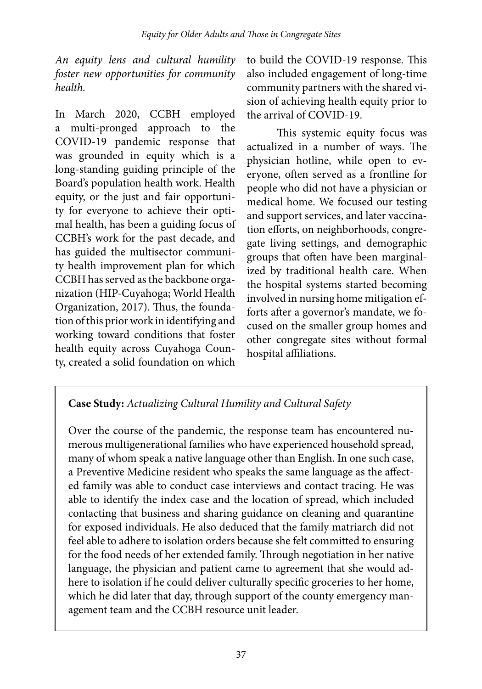*An equity lens and cultural humility foster new opportunities for community health.*

In March 2020, CCBH employed a multi-pronged approach to the COVID-19 pandemic response that was grounded in equity which is a long-standing guiding principle of the Board's population health work. Health equity, or the just and fair opportunity for everyone to achieve their optimal health, has been a guiding focus of CCBH's work for the past decade, and has guided the multisector community health improvement plan for which CCBH has served as the backbone organization (HIP-Cuyahoga; World Health Organization, 2017). Thus, the foundation of this prior work in identifying and working toward conditions that foster health equity across Cuyahoga County, created a solid foundation on which

to build the COVID-19 response. This also included engagement of long-time community partners with the shared vision of achieving health equity prior to the arrival of COVID-19.

This systemic equity focus was actualized in a number of ways. The physician hotline, while open to everyone, often served as a frontline for people who did not have a physician or medical home. We focused our testing and support services, and later vaccination efforts, on neighborhoods, congregate living settings, and demographic groups that often have been marginalized by traditional health care. When the hospital systems started becoming involved in nursing home mitigation efforts after a governor's mandate, we focused on the smaller group homes and other congregate sites without formal hospital affiliations.

# **Case Study:** *Actualizing Cultural Humility and Cultural Safety*

Over the course of the pandemic, the response team has encountered numerous multigenerational families who have experienced household spread, many of whom speak a native language other than English. In one such case, a Preventive Medicine resident who speaks the same language as the affected family was able to conduct case interviews and contact tracing. He was able to identify the index case and the location of spread, which included contacting that business and sharing guidance on cleaning and quarantine for exposed individuals. He also deduced that the family matriarch did not feel able to adhere to isolation orders because she felt committed to ensuring for the food needs of her extended family. Through negotiation in her native language, the physician and patient came to agreement that she would adhere to isolation if he could deliver culturally specific groceries to her home, which he did later that day, through support of the county emergency management team and the CCBH resource unit leader.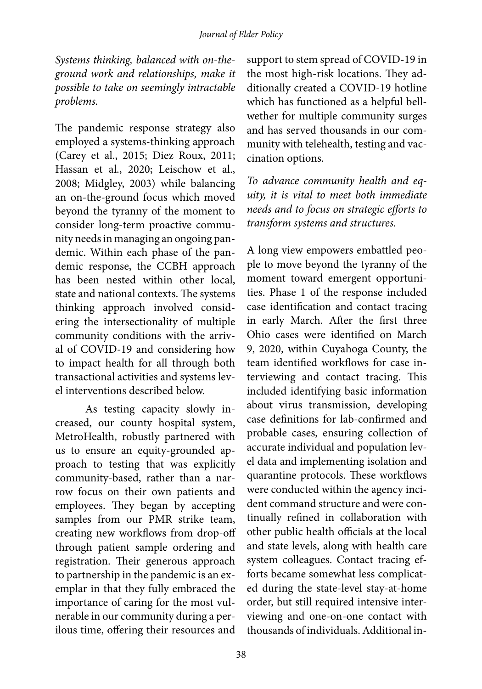*Systems thinking, balanced with on-theground work and relationships, make it possible to take on seemingly intractable problems.* 

The pandemic response strategy also employed a systems-thinking approach (Carey et al., 2015; Diez Roux, 2011; Hassan et al., 2020; Leischow et al., 2008; Midgley, 2003) while balancing an on-the-ground focus which moved beyond the tyranny of the moment to consider long-term proactive community needs in managing an ongoing pandemic. Within each phase of the pandemic response, the CCBH approach has been nested within other local, state and national contexts. The systems thinking approach involved considering the intersectionality of multiple community conditions with the arrival of COVID-19 and considering how to impact health for all through both transactional activities and systems level interventions described below.

As testing capacity slowly increased, our county hospital system, MetroHealth, robustly partnered with us to ensure an equity-grounded approach to testing that was explicitly community-based, rather than a narrow focus on their own patients and employees. They began by accepting samples from our PMR strike team, creating new workflows from drop-off through patient sample ordering and registration. Their generous approach to partnership in the pandemic is an exemplar in that they fully embraced the importance of caring for the most vulnerable in our community during a perilous time, offering their resources and

support to stem spread of COVID-19 in the most high-risk locations. They additionally created a COVID-19 hotline which has functioned as a helpful bellwether for multiple community surges and has served thousands in our community with telehealth, testing and vaccination options.

*To advance community health and equity, it is vital to meet both immediate needs and to focus on strategic efforts to transform systems and structures.*

A long view empowers embattled people to move beyond the tyranny of the moment toward emergent opportunities. Phase 1 of the response included case identification and contact tracing in early March. After the first three Ohio cases were identified on March 9, 2020, within Cuyahoga County, the team identified workflows for case interviewing and contact tracing. This included identifying basic information about virus transmission, developing case definitions for lab-confirmed and probable cases, ensuring collection of accurate individual and population level data and implementing isolation and quarantine protocols. These workflows were conducted within the agency incident command structure and were continually refined in collaboration with other public health officials at the local and state levels, along with health care system colleagues. Contact tracing efforts became somewhat less complicated during the state-level stay-at-home order, but still required intensive interviewing and one-on-one contact with thousands of individuals. Additional in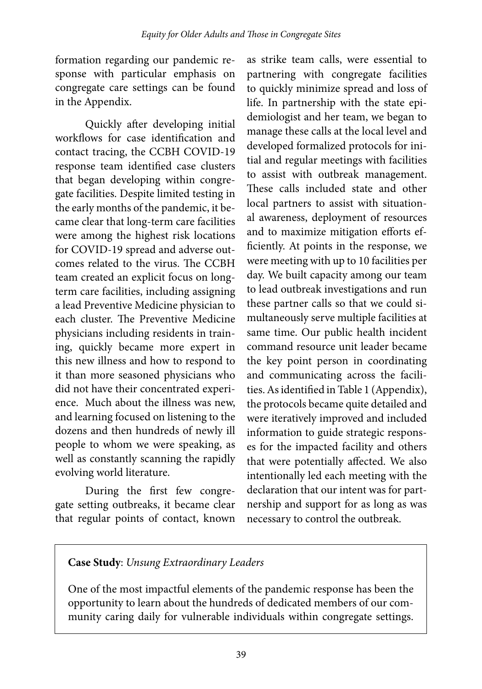formation regarding our pandemic response with particular emphasis on congregate care settings can be found in the Appendix.

Quickly after developing initial workflows for case identification and contact tracing, the CCBH COVID-19 response team identified case clusters that began developing within congregate facilities. Despite limited testing in the early months of the pandemic, it became clear that long-term care facilities were among the highest risk locations for COVID-19 spread and adverse outcomes related to the virus. The CCBH team created an explicit focus on longterm care facilities, including assigning a lead Preventive Medicine physician to each cluster. The Preventive Medicine physicians including residents in training, quickly became more expert in this new illness and how to respond to it than more seasoned physicians who did not have their concentrated experience. Much about the illness was new, and learning focused on listening to the dozens and then hundreds of newly ill people to whom we were speaking, as well as constantly scanning the rapidly evolving world literature.

During the first few congregate setting outbreaks, it became clear that regular points of contact, known

as strike team calls, were essential to partnering with congregate facilities to quickly minimize spread and loss of life. In partnership with the state epidemiologist and her team, we began to manage these calls at the local level and developed formalized protocols for initial and regular meetings with facilities to assist with outbreak management. These calls included state and other local partners to assist with situational awareness, deployment of resources and to maximize mitigation efforts efficiently. At points in the response, we were meeting with up to 10 facilities per day. We built capacity among our team to lead outbreak investigations and run these partner calls so that we could simultaneously serve multiple facilities at same time. Our public health incident command resource unit leader became the key point person in coordinating and communicating across the facilities. As identified in Table 1 (Appendix), the protocols became quite detailed and were iteratively improved and included information to guide strategic responses for the impacted facility and others that were potentially affected. We also intentionally led each meeting with the declaration that our intent was for partnership and support for as long as was necessary to control the outbreak.

### **Case Study**: *Unsung Extraordinary Leaders*

One of the most impactful elements of the pandemic response has been the opportunity to learn about the hundreds of dedicated members of our community caring daily for vulnerable individuals within congregate settings.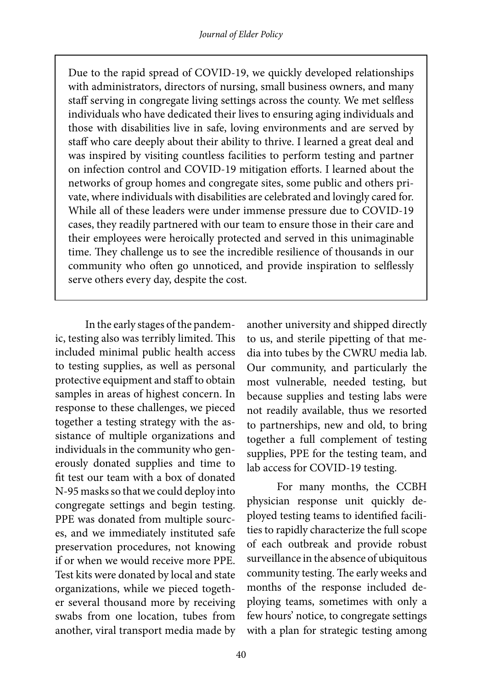Due to the rapid spread of COVID-19, we quickly developed relationships with administrators, directors of nursing, small business owners, and many staff serving in congregate living settings across the county. We met selfless individuals who have dedicated their lives to ensuring aging individuals and those with disabilities live in safe, loving environments and are served by staff who care deeply about their ability to thrive. I learned a great deal and was inspired by visiting countless facilities to perform testing and partner on infection control and COVID-19 mitigation efforts. I learned about the networks of group homes and congregate sites, some public and others private, where individuals with disabilities are celebrated and lovingly cared for. While all of these leaders were under immense pressure due to COVID-19 cases, they readily partnered with our team to ensure those in their care and their employees were heroically protected and served in this unimaginable time. They challenge us to see the incredible resilience of thousands in our community who often go unnoticed, and provide inspiration to selflessly serve others every day, despite the cost.

In the early stages of the pandemic, testing also was terribly limited. This included minimal public health access to testing supplies, as well as personal protective equipment and staff to obtain samples in areas of highest concern. In response to these challenges, we pieced together a testing strategy with the assistance of multiple organizations and individuals in the community who generously donated supplies and time to fit test our team with a box of donated N-95 masks so that we could deploy into congregate settings and begin testing. PPE was donated from multiple sources, and we immediately instituted safe preservation procedures, not knowing if or when we would receive more PPE. Test kits were donated by local and state organizations, while we pieced together several thousand more by receiving swabs from one location, tubes from another, viral transport media made by

another university and shipped directly to us, and sterile pipetting of that media into tubes by the CWRU media lab. Our community, and particularly the most vulnerable, needed testing, but because supplies and testing labs were not readily available, thus we resorted to partnerships, new and old, to bring together a full complement of testing supplies, PPE for the testing team, and lab access for COVID-19 testing.

For many months, the CCBH physician response unit quickly deployed testing teams to identified facilities to rapidly characterize the full scope of each outbreak and provide robust surveillance in the absence of ubiquitous community testing. The early weeks and months of the response included deploying teams, sometimes with only a few hours' notice, to congregate settings with a plan for strategic testing among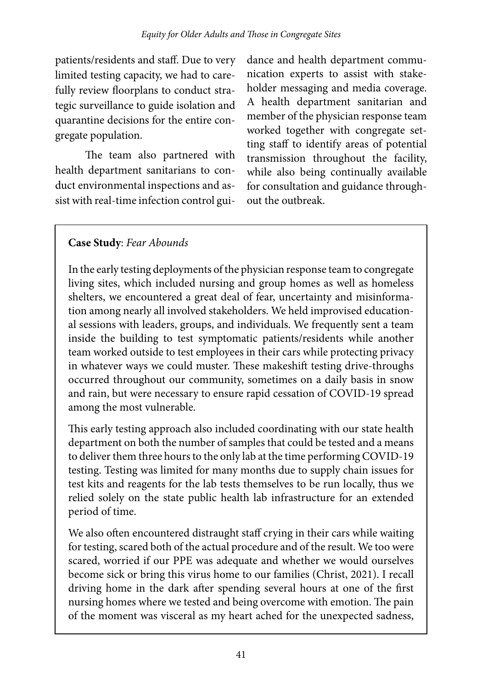patients/residents and staff. Due to very limited testing capacity, we had to carefully review floorplans to conduct strategic surveillance to guide isolation and quarantine decisions for the entire congregate population.

The team also partnered with health department sanitarians to conduct environmental inspections and assist with real-time infection control gui-

dance and health department communication experts to assist with stakeholder messaging and media coverage. A health department sanitarian and member of the physician response team worked together with congregate setting staff to identify areas of potential transmission throughout the facility, while also being continually available for consultation and guidance throughout the outbreak.

## **Case Study**: *Fear Abounds*

In the early testing deployments of the physician response team to congregate living sites, which included nursing and group homes as well as homeless shelters, we encountered a great deal of fear, uncertainty and misinformation among nearly all involved stakeholders. We held improvised educational sessions with leaders, groups, and individuals. We frequently sent a team inside the building to test symptomatic patients/residents while another team worked outside to test employees in their cars while protecting privacy in whatever ways we could muster. These makeshift testing drive-throughs occurred throughout our community, sometimes on a daily basis in snow and rain, but were necessary to ensure rapid cessation of COVID-19 spread among the most vulnerable.

This early testing approach also included coordinating with our state health department on both the number of samples that could be tested and a means to deliver them three hours to the only lab at the time performing COVID-19 testing. Testing was limited for many months due to supply chain issues for test kits and reagents for the lab tests themselves to be run locally, thus we relied solely on the state public health lab infrastructure for an extended period of time.

We also often encountered distraught staff crying in their cars while waiting for testing, scared both of the actual procedure and of the result. We too were scared, worried if our PPE was adequate and whether we would ourselves become sick or bring this virus home to our families (Christ, 2021). I recall driving home in the dark after spending several hours at one of the first nursing homes where we tested and being overcome with emotion. The pain of the moment was visceral as my heart ached for the unexpected sadness,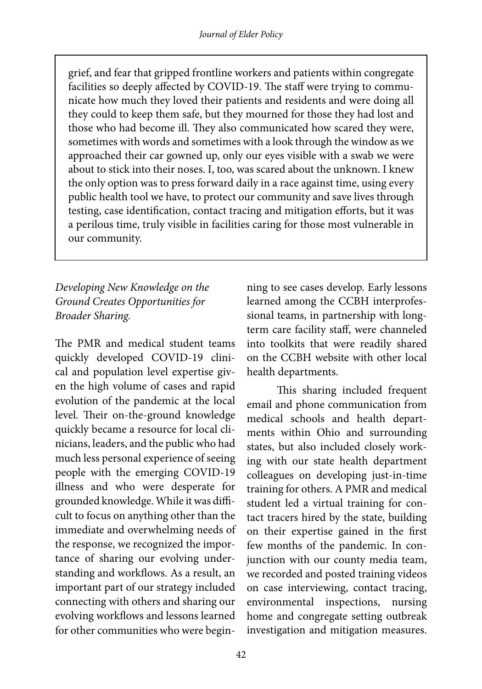grief, and fear that gripped frontline workers and patients within congregate facilities so deeply affected by COVID-19. The staff were trying to communicate how much they loved their patients and residents and were doing all they could to keep them safe, but they mourned for those they had lost and those who had become ill. They also communicated how scared they were, sometimes with words and sometimes with a look through the window as we approached their car gowned up, only our eyes visible with a swab we were about to stick into their noses. I, too, was scared about the unknown. I knew the only option was to press forward daily in a race against time, using every public health tool we have, to protect our community and save lives through testing, case identification, contact tracing and mitigation efforts, but it was a perilous time, truly visible in facilities caring for those most vulnerable in our community.

## *Developing New Knowledge on the Ground Creates Opportunities for Broader Sharing.*

The PMR and medical student teams quickly developed COVID-19 clinical and population level expertise given the high volume of cases and rapid evolution of the pandemic at the local level. Their on-the-ground knowledge quickly became a resource for local clinicians, leaders, and the public who had much less personal experience of seeing people with the emerging COVID-19 illness and who were desperate for grounded knowledge. While it was difficult to focus on anything other than the immediate and overwhelming needs of the response, we recognized the importance of sharing our evolving understanding and workflows. As a result, an important part of our strategy included connecting with others and sharing our evolving workflows and lessons learned for other communities who were beginning to see cases develop. Early lessons learned among the CCBH interprofessional teams, in partnership with longterm care facility staff, were channeled into toolkits that were readily shared on the CCBH website with other local health departments.

This sharing included frequent email and phone communication from medical schools and health departments within Ohio and surrounding states, but also included closely working with our state health department colleagues on developing just-in-time training for others. A PMR and medical student led a virtual training for contact tracers hired by the state, building on their expertise gained in the first few months of the pandemic. In conjunction with our county media team, we recorded and posted training videos on case interviewing, contact tracing, environmental inspections, nursing home and congregate setting outbreak investigation and mitigation measures.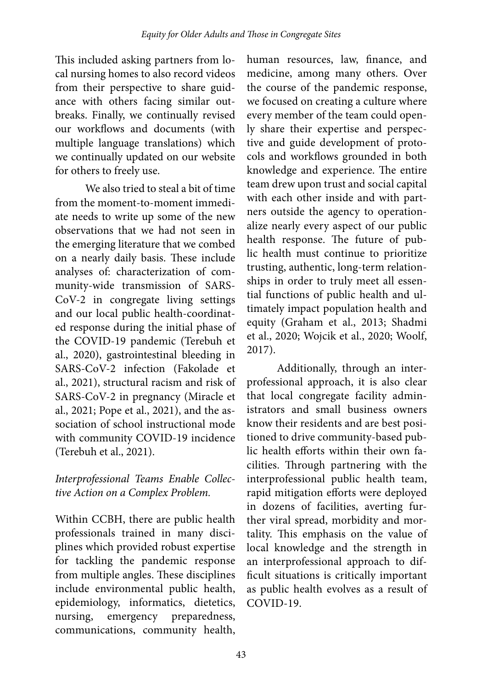This included asking partners from local nursing homes to also record videos from their perspective to share guidance with others facing similar outbreaks. Finally, we continually revised our workflows and documents (with multiple language translations) which we continually updated on our website for others to freely use.

We also tried to steal a bit of time from the moment-to-moment immediate needs to write up some of the new observations that we had not seen in the emerging literature that we combed on a nearly daily basis. These include analyses of: characterization of community-wide transmission of SARS-CoV-2 in congregate living settings and our local public health-coordinated response during the initial phase of the COVID-19 pandemic (Terebuh et al., 2020), gastrointestinal bleeding in SARS-CoV-2 infection (Fakolade et al., 2021), structural racism and risk of SARS-CoV-2 in pregnancy (Miracle et al., 2021; Pope et al., 2021), and the association of school instructional mode with community COVID-19 incidence (Terebuh et al., 2021).

#### *Interprofessional Teams Enable Collective Action on a Complex Problem.*

Within CCBH, there are public health professionals trained in many disciplines which provided robust expertise for tackling the pandemic response from multiple angles. These disciplines include environmental public health, epidemiology, informatics, dietetics, nursing, emergency preparedness, communications, community health,

human resources, law, finance, and medicine, among many others. Over the course of the pandemic response, we focused on creating a culture where every member of the team could openly share their expertise and perspective and guide development of protocols and workflows grounded in both knowledge and experience. The entire team drew upon trust and social capital with each other inside and with partners outside the agency to operationalize nearly every aspect of our public health response. The future of public health must continue to prioritize trusting, authentic, long-term relationships in order to truly meet all essential functions of public health and ultimately impact population health and equity (Graham et al., 2013; Shadmi et al., 2020; Wojcik et al., 2020; Woolf, 2017).

Additionally, through an interprofessional approach, it is also clear that local congregate facility administrators and small business owners know their residents and are best positioned to drive community-based public health efforts within their own facilities. Through partnering with the interprofessional public health team, rapid mitigation efforts were deployed in dozens of facilities, averting further viral spread, morbidity and mortality. This emphasis on the value of local knowledge and the strength in an interprofessional approach to difficult situations is critically important as public health evolves as a result of COVID-19.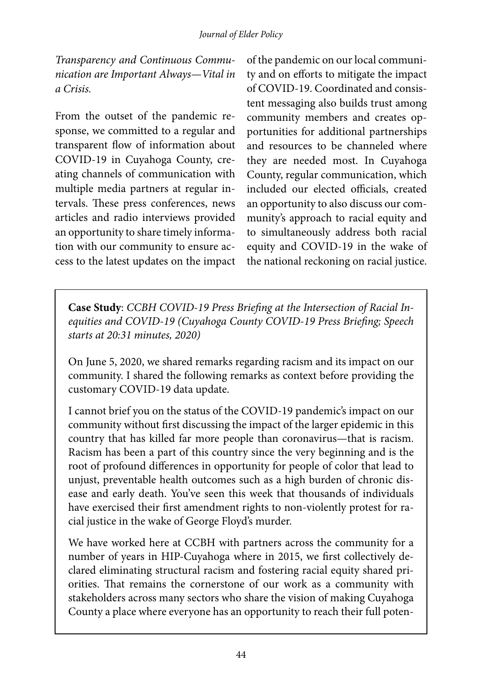*Transparency and Continuous Communication are Important Always*—*Vital in a Crisis.*

From the outset of the pandemic response, we committed to a regular and transparent flow of information about COVID-19 in Cuyahoga County, creating channels of communication with multiple media partners at regular intervals. These press conferences, news articles and radio interviews provided an opportunity to share timely information with our community to ensure access to the latest updates on the impact

of the pandemic on our local community and on efforts to mitigate the impact of COVID-19. Coordinated and consistent messaging also builds trust among community members and creates opportunities for additional partnerships and resources to be channeled where they are needed most. In Cuyahoga County, regular communication, which included our elected officials, created an opportunity to also discuss our community's approach to racial equity and to simultaneously address both racial equity and COVID-19 in the wake of the national reckoning on racial justice.

**Case Study**: *CCBH COVID-19 Press Briefing at the Intersection of Racial Inequities and COVID-19 (Cuyahoga County COVID-19 Press Briefing; Speech starts at 20:31 minutes, 2020)*

On June 5, 2020, we shared remarks regarding racism and its impact on our community. I shared the following remarks as context before providing the customary COVID-19 data update.

I cannot brief you on the status of the COVID-19 pandemic's impact on our community without first discussing the impact of the larger epidemic in this country that has killed far more people than coronavirus—that is racism. Racism has been a part of this country since the very beginning and is the root of profound differences in opportunity for people of color that lead to unjust, preventable health outcomes such as a high burden of chronic disease and early death. You've seen this week that thousands of individuals have exercised their first amendment rights to non-violently protest for racial justice in the wake of George Floyd's murder.

We have worked here at CCBH with partners across the community for a number of years in HIP-Cuyahoga where in 2015, we first collectively declared eliminating structural racism and fostering racial equity shared priorities. That remains the cornerstone of our work as a community with stakeholders across many sectors who share the vision of making Cuyahoga County a place where everyone has an opportunity to reach their full poten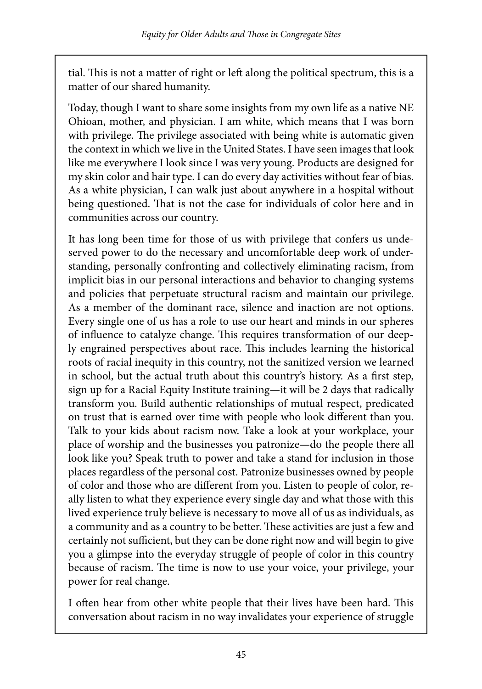tial. This is not a matter of right or left along the political spectrum, this is a matter of our shared humanity.

Today, though I want to share some insights from my own life as a native NE Ohioan, mother, and physician. I am white, which means that I was born with privilege. The privilege associated with being white is automatic given the context in which we live in the United States. I have seen images that look like me everywhere I look since I was very young. Products are designed for my skin color and hair type. I can do every day activities without fear of bias. As a white physician, I can walk just about anywhere in a hospital without being questioned. That is not the case for individuals of color here and in communities across our country.

It has long been time for those of us with privilege that confers us undeserved power to do the necessary and uncomfortable deep work of understanding, personally confronting and collectively eliminating racism, from implicit bias in our personal interactions and behavior to changing systems and policies that perpetuate structural racism and maintain our privilege. As a member of the dominant race, silence and inaction are not options. Every single one of us has a role to use our heart and minds in our spheres of influence to catalyze change. This requires transformation of our deeply engrained perspectives about race. This includes learning the historical roots of racial inequity in this country, not the sanitized version we learned in school, but the actual truth about this country's history. As a first step, sign up for a Racial Equity Institute training—it will be 2 days that radically transform you. Build authentic relationships of mutual respect, predicated on trust that is earned over time with people who look different than you. Talk to your kids about racism now. Take a look at your workplace, your place of worship and the businesses you patronize—do the people there all look like you? Speak truth to power and take a stand for inclusion in those places regardless of the personal cost. Patronize businesses owned by people of color and those who are different from you. Listen to people of color, really listen to what they experience every single day and what those with this lived experience truly believe is necessary to move all of us as individuals, as a community and as a country to be better. These activities are just a few and certainly not sufficient, but they can be done right now and will begin to give you a glimpse into the everyday struggle of people of color in this country because of racism. The time is now to use your voice, your privilege, your power for real change.

I often hear from other white people that their lives have been hard. This conversation about racism in no way invalidates your experience of struggle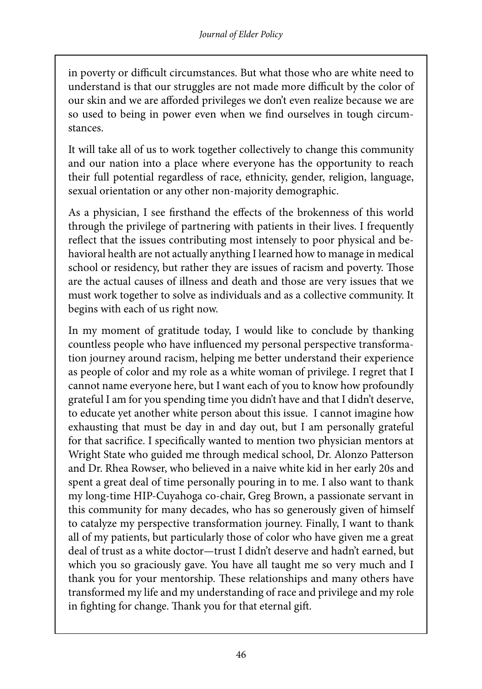in poverty or difficult circumstances. But what those who are white need to understand is that our struggles are not made more difficult by the color of our skin and we are afforded privileges we don't even realize because we are so used to being in power even when we find ourselves in tough circumstances.

It will take all of us to work together collectively to change this community and our nation into a place where everyone has the opportunity to reach their full potential regardless of race, ethnicity, gender, religion, language, sexual orientation or any other non-majority demographic.

As a physician, I see firsthand the effects of the brokenness of this world through the privilege of partnering with patients in their lives. I frequently reflect that the issues contributing most intensely to poor physical and behavioral health are not actually anything I learned how to manage in medical school or residency, but rather they are issues of racism and poverty. Those are the actual causes of illness and death and those are very issues that we must work together to solve as individuals and as a collective community. It begins with each of us right now.

In my moment of gratitude today, I would like to conclude by thanking countless people who have influenced my personal perspective transformation journey around racism, helping me better understand their experience as people of color and my role as a white woman of privilege. I regret that I cannot name everyone here, but I want each of you to know how profoundly grateful I am for you spending time you didn't have and that I didn't deserve, to educate yet another white person about this issue. I cannot imagine how exhausting that must be day in and day out, but I am personally grateful for that sacrifice. I specifically wanted to mention two physician mentors at Wright State who guided me through medical school, Dr. Alonzo Patterson and Dr. Rhea Rowser, who believed in a naive white kid in her early 20s and spent a great deal of time personally pouring in to me. I also want to thank my long-time HIP-Cuyahoga co-chair, Greg Brown, a passionate servant in this community for many decades, who has so generously given of himself to catalyze my perspective transformation journey. Finally, I want to thank all of my patients, but particularly those of color who have given me a great deal of trust as a white doctor—trust I didn't deserve and hadn't earned, but which you so graciously gave. You have all taught me so very much and I thank you for your mentorship. These relationships and many others have transformed my life and my understanding of race and privilege and my role in fighting for change. Thank you for that eternal gift.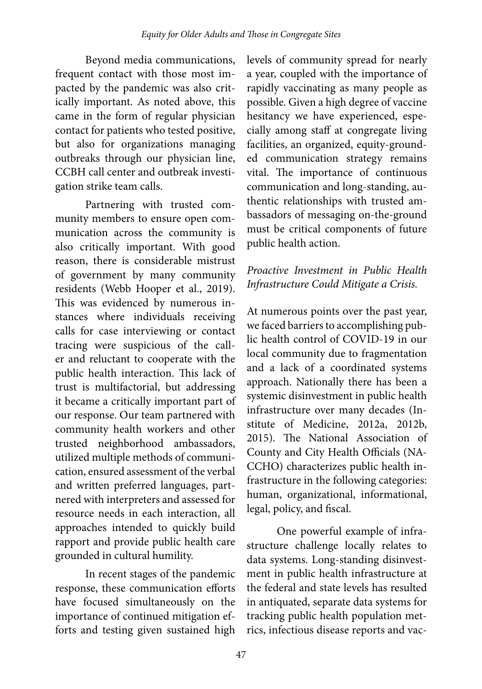Beyond media communications, frequent contact with those most impacted by the pandemic was also critically important. As noted above, this came in the form of regular physician contact for patients who tested positive, but also for organizations managing outbreaks through our physician line, CCBH call center and outbreak investigation strike team calls.

Partnering with trusted community members to ensure open communication across the community is also critically important. With good reason, there is considerable mistrust of government by many community residents (Webb Hooper et al., 2019). This was evidenced by numerous instances where individuals receiving calls for case interviewing or contact tracing were suspicious of the caller and reluctant to cooperate with the public health interaction. This lack of trust is multifactorial, but addressing it became a critically important part of our response. Our team partnered with community health workers and other trusted neighborhood ambassadors, utilized multiple methods of communication, ensured assessment of the verbal and written preferred languages, partnered with interpreters and assessed for resource needs in each interaction, all approaches intended to quickly build rapport and provide public health care grounded in cultural humility.

In recent stages of the pandemic response, these communication efforts have focused simultaneously on the importance of continued mitigation efforts and testing given sustained high levels of community spread for nearly a year, coupled with the importance of rapidly vaccinating as many people as possible. Given a high degree of vaccine hesitancy we have experienced, especially among staff at congregate living facilities, an organized, equity-grounded communication strategy remains vital. The importance of continuous communication and long-standing, authentic relationships with trusted ambassadors of messaging on-the-ground must be critical components of future public health action.

#### *Proactive Investment in Public Health Infrastructure Could Mitigate a Crisis.*

At numerous points over the past year, we faced barriers to accomplishing public health control of COVID-19 in our local community due to fragmentation and a lack of a coordinated systems approach. Nationally there has been a systemic disinvestment in public health infrastructure over many decades (Institute of Medicine, 2012a, 2012b, 2015). The National Association of County and City Health Officials (NA-CCHO) characterizes public health infrastructure in the following categories: human, organizational, informational, legal, policy, and fiscal.

One powerful example of infrastructure challenge locally relates to data systems. Long-standing disinvestment in public health infrastructure at the federal and state levels has resulted in antiquated, separate data systems for tracking public health population metrics, infectious disease reports and vac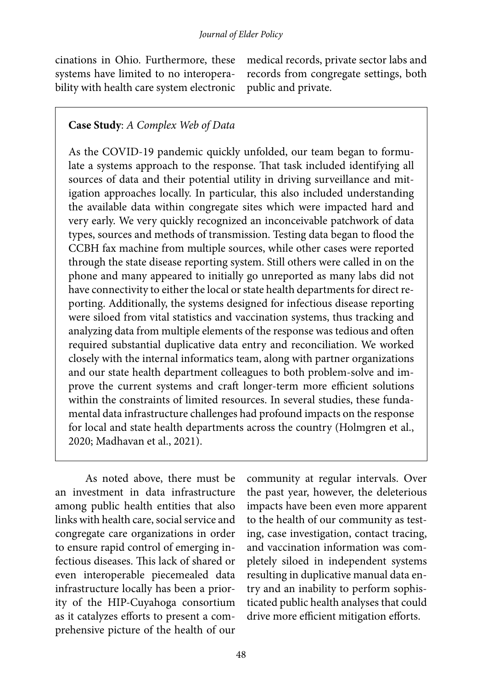cinations in Ohio. Furthermore, these systems have limited to no interoperability with health care system electronic medical records, private sector labs and records from congregate settings, both public and private.

#### **Case Study**: *A Complex Web of Data*

As the COVID-19 pandemic quickly unfolded, our team began to formulate a systems approach to the response. That task included identifying all sources of data and their potential utility in driving surveillance and mitigation approaches locally. In particular, this also included understanding the available data within congregate sites which were impacted hard and very early. We very quickly recognized an inconceivable patchwork of data types, sources and methods of transmission. Testing data began to flood the CCBH fax machine from multiple sources, while other cases were reported through the state disease reporting system. Still others were called in on the phone and many appeared to initially go unreported as many labs did not have connectivity to either the local or state health departments for direct reporting. Additionally, the systems designed for infectious disease reporting were siloed from vital statistics and vaccination systems, thus tracking and analyzing data from multiple elements of the response was tedious and often required substantial duplicative data entry and reconciliation. We worked closely with the internal informatics team, along with partner organizations and our state health department colleagues to both problem-solve and improve the current systems and craft longer-term more efficient solutions within the constraints of limited resources. In several studies, these fundamental data infrastructure challenges had profound impacts on the response for local and state health departments across the country (Holmgren et al., 2020; Madhavan et al., 2021).

As noted above, there must be an investment in data infrastructure among public health entities that also links with health care, social service and congregate care organizations in order to ensure rapid control of emerging infectious diseases. This lack of shared or even interoperable piecemealed data infrastructure locally has been a priority of the HIP-Cuyahoga consortium as it catalyzes efforts to present a comprehensive picture of the health of our

community at regular intervals. Over the past year, however, the deleterious impacts have been even more apparent to the health of our community as testing, case investigation, contact tracing, and vaccination information was completely siloed in independent systems resulting in duplicative manual data entry and an inability to perform sophisticated public health analyses that could drive more efficient mitigation efforts.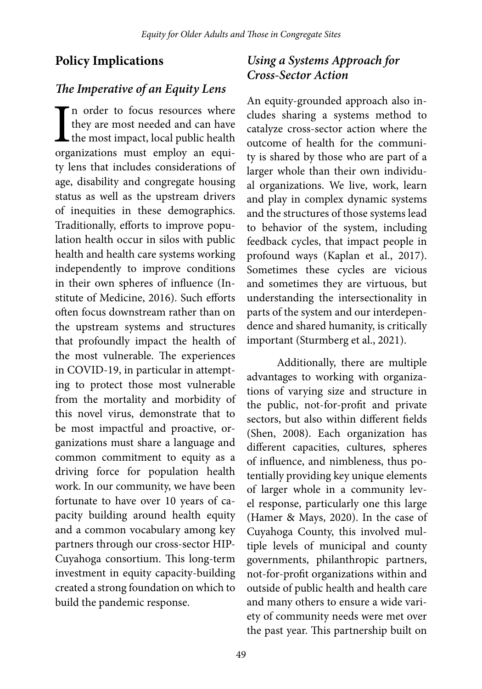#### **Policy Implications**

#### *The Imperative of an Equity Lens*

In order to focus resources where<br>they are most needed and can have<br>the most impact, local public health<br>organizations must employ an equin order to focus resources where they are most needed and can have  $\mathsf{\mathsf{L}}$  the most impact, local public health ty lens that includes considerations of age, disability and congregate housing status as well as the upstream drivers of inequities in these demographics. Traditionally, efforts to improve population health occur in silos with public health and health care systems working independently to improve conditions in their own spheres of influence (Institute of Medicine, 2016). Such efforts often focus downstream rather than on the upstream systems and structures that profoundly impact the health of the most vulnerable. The experiences in COVID-19, in particular in attempting to protect those most vulnerable from the mortality and morbidity of this novel virus, demonstrate that to be most impactful and proactive, organizations must share a language and common commitment to equity as a driving force for population health work. In our community, we have been fortunate to have over 10 years of capacity building around health equity and a common vocabulary among key partners through our cross-sector HIP-Cuyahoga consortium. This long-term investment in equity capacity-building created a strong foundation on which to build the pandemic response.

## *Using a Systems Approach for Cross-Sector Action*

An equity-grounded approach also includes sharing a systems method to catalyze cross-sector action where the outcome of health for the community is shared by those who are part of a larger whole than their own individual organizations. We live, work, learn and play in complex dynamic systems and the structures of those systems lead to behavior of the system, including feedback cycles, that impact people in profound ways (Kaplan et al., 2017). Sometimes these cycles are vicious and sometimes they are virtuous, but understanding the intersectionality in parts of the system and our interdependence and shared humanity, is critically important (Sturmberg et al., 2021).

Additionally, there are multiple advantages to working with organizations of varying size and structure in the public, not-for-profit and private sectors, but also within different fields (Shen, 2008). Each organization has different capacities, cultures, spheres of influence, and nimbleness, thus potentially providing key unique elements of larger whole in a community level response, particularly one this large (Hamer & Mays, 2020). In the case of Cuyahoga County, this involved multiple levels of municipal and county governments, philanthropic partners, not-for-profit organizations within and outside of public health and health care and many others to ensure a wide variety of community needs were met over the past year. This partnership built on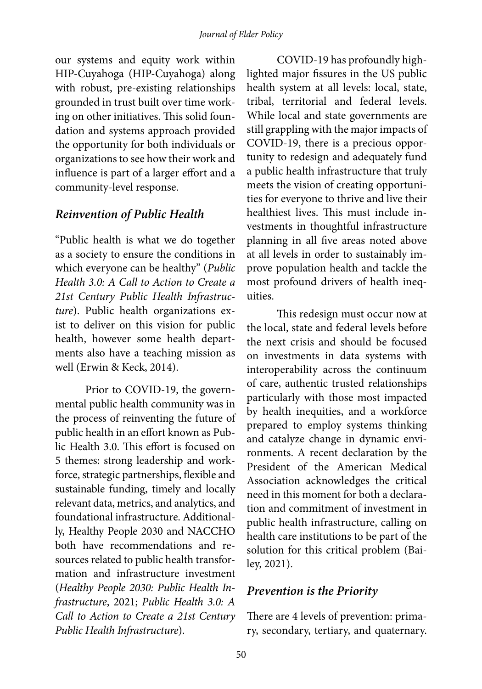our systems and equity work within HIP-Cuyahoga (HIP-Cuyahoga) along with robust, pre-existing relationships grounded in trust built over time working on other initiatives. This solid foundation and systems approach provided the opportunity for both individuals or organizations to see how their work and influence is part of a larger effort and a community-level response.

#### *Reinvention of Public Health*

"Public health is what we do together as a society to ensure the conditions in which everyone can be healthy" (*Public Health 3.0: A Call to Action to Create a 21st Century Public Health Infrastructure*). Public health organizations exist to deliver on this vision for public health, however some health departments also have a teaching mission as well (Erwin & Keck, 2014).

Prior to COVID-19, the governmental public health community was in the process of reinventing the future of public health in an effort known as Public Health 3.0. This effort is focused on 5 themes: strong leadership and workforce, strategic partnerships, flexible and sustainable funding, timely and locally relevant data, metrics, and analytics, and foundational infrastructure. Additionally, Healthy People 2030 and NACCHO both have recommendations and resources related to public health transformation and infrastructure investment (*Healthy People 2030: Public Health Infrastructure*, 2021; *Public Health 3.0: A Call to Action to Create a 21st Century Public Health Infrastructure*).

COVID-19 has profoundly highlighted major fissures in the US public health system at all levels: local, state, tribal, territorial and federal levels. While local and state governments are still grappling with the major impacts of COVID-19, there is a precious opportunity to redesign and adequately fund a public health infrastructure that truly meets the vision of creating opportunities for everyone to thrive and live their healthiest lives. This must include investments in thoughtful infrastructure planning in all five areas noted above at all levels in order to sustainably improve population health and tackle the most profound drivers of health inequities.

This redesign must occur now at the local, state and federal levels before the next crisis and should be focused on investments in data systems with interoperability across the continuum of care, authentic trusted relationships particularly with those most impacted by health inequities, and a workforce prepared to employ systems thinking and catalyze change in dynamic environments. A recent declaration by the President of the American Medical Association acknowledges the critical need in this moment for both a declaration and commitment of investment in public health infrastructure, calling on health care institutions to be part of the solution for this critical problem (Bailey, 2021).

#### *Prevention is the Priority*

There are 4 levels of prevention: primary, secondary, tertiary, and quaternary.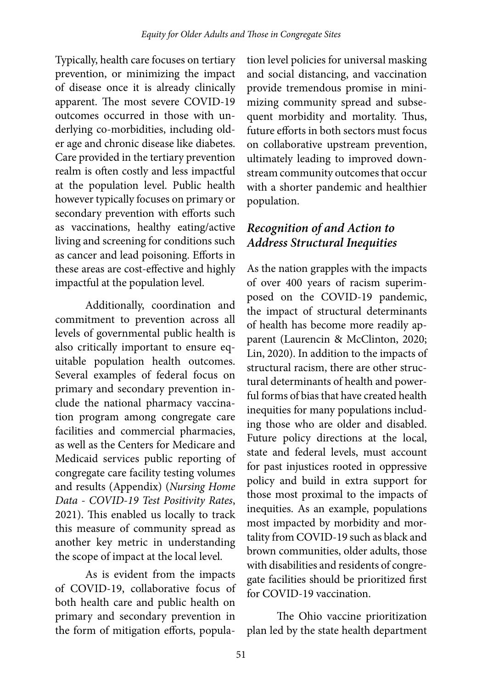Typically, health care focuses on tertiary prevention, or minimizing the impact of disease once it is already clinically apparent. The most severe COVID-19 outcomes occurred in those with underlying co-morbidities, including older age and chronic disease like diabetes. Care provided in the tertiary prevention realm is often costly and less impactful at the population level. Public health however typically focuses on primary or secondary prevention with efforts such as vaccinations, healthy eating/active living and screening for conditions such as cancer and lead poisoning. Efforts in these areas are cost-effective and highly impactful at the population level.

Additionally, coordination and commitment to prevention across all levels of governmental public health is also critically important to ensure equitable population health outcomes. Several examples of federal focus on primary and secondary prevention include the national pharmacy vaccination program among congregate care facilities and commercial pharmacies, as well as the Centers for Medicare and Medicaid services public reporting of congregate care facility testing volumes and results (Appendix) (*Nursing Home Data - COVID-19 Test Positivity Rates*, 2021). This enabled us locally to track this measure of community spread as another key metric in understanding the scope of impact at the local level.

As is evident from the impacts of COVID-19, collaborative focus of both health care and public health on primary and secondary prevention in the form of mitigation efforts, popula-

tion level policies for universal masking and social distancing, and vaccination provide tremendous promise in minimizing community spread and subsequent morbidity and mortality. Thus, future efforts in both sectors must focus on collaborative upstream prevention, ultimately leading to improved downstream community outcomes that occur with a shorter pandemic and healthier population.

## *Recognition of and Action to Address Structural Inequities*

As the nation grapples with the impacts of over 400 years of racism superimposed on the COVID-19 pandemic, the impact of structural determinants of health has become more readily apparent (Laurencin & McClinton, 2020; Lin, 2020). In addition to the impacts of structural racism, there are other structural determinants of health and powerful forms of bias that have created health inequities for many populations including those who are older and disabled. Future policy directions at the local, state and federal levels, must account for past injustices rooted in oppressive policy and build in extra support for those most proximal to the impacts of inequities. As an example, populations most impacted by morbidity and mortality from COVID-19 such as black and brown communities, older adults, those with disabilities and residents of congregate facilities should be prioritized first for COVID-19 vaccination.

The Ohio vaccine prioritization plan led by the state health department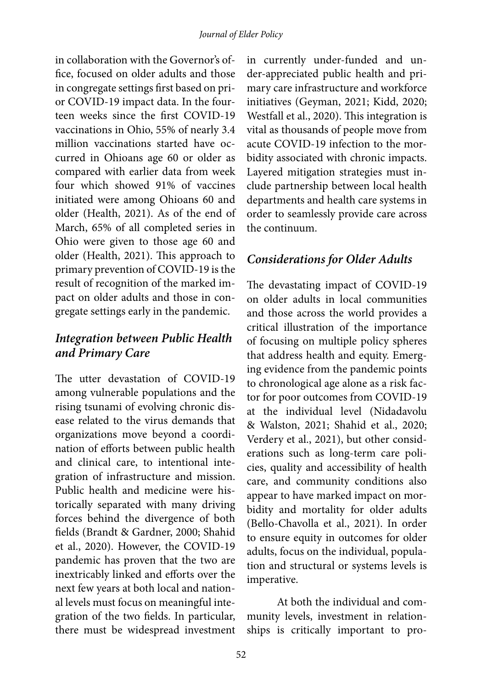in collaboration with the Governor's office, focused on older adults and those in congregate settings first based on prior COVID-19 impact data. In the fourteen weeks since the first COVID-19 vaccinations in Ohio, 55% of nearly 3.4 million vaccinations started have occurred in Ohioans age 60 or older as compared with earlier data from week four which showed 91% of vaccines initiated were among Ohioans 60 and older (Health, 2021). As of the end of March, 65% of all completed series in Ohio were given to those age 60 and older (Health, 2021). This approach to primary prevention of COVID-19 is the result of recognition of the marked impact on older adults and those in congregate settings early in the pandemic.

# *Integration between Public Health and Primary Care*

The utter devastation of COVID-19 among vulnerable populations and the rising tsunami of evolving chronic disease related to the virus demands that organizations move beyond a coordination of efforts between public health and clinical care, to intentional integration of infrastructure and mission. Public health and medicine were historically separated with many driving forces behind the divergence of both fields (Brandt & Gardner, 2000; Shahid et al., 2020). However, the COVID-19 pandemic has proven that the two are inextricably linked and efforts over the next few years at both local and national levels must focus on meaningful integration of the two fields. In particular, there must be widespread investment

in currently under-funded and under-appreciated public health and primary care infrastructure and workforce initiatives (Geyman, 2021; Kidd, 2020; Westfall et al., 2020). This integration is vital as thousands of people move from acute COVID-19 infection to the morbidity associated with chronic impacts. Layered mitigation strategies must include partnership between local health departments and health care systems in order to seamlessly provide care across the continuum.

# *Considerations for Older Adults*

The devastating impact of COVID-19 on older adults in local communities and those across the world provides a critical illustration of the importance of focusing on multiple policy spheres that address health and equity. Emerging evidence from the pandemic points to chronological age alone as a risk factor for poor outcomes from COVID-19 at the individual level (Nidadavolu & Walston, 2021; Shahid et al., 2020; Verdery et al., 2021), but other considerations such as long-term care policies, quality and accessibility of health care, and community conditions also appear to have marked impact on morbidity and mortality for older adults (Bello-Chavolla et al., 2021). In order to ensure equity in outcomes for older adults, focus on the individual, population and structural or systems levels is imperative.

At both the individual and community levels, investment in relationships is critically important to pro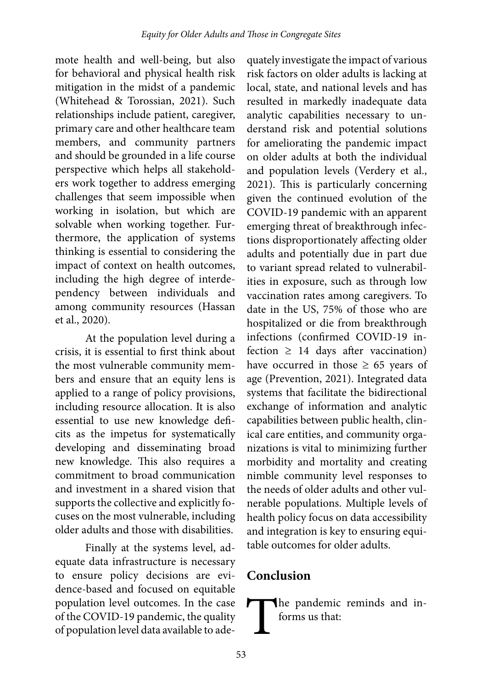mote health and well-being, but also for behavioral and physical health risk mitigation in the midst of a pandemic (Whitehead & Torossian, 2021). Such relationships include patient, caregiver, primary care and other healthcare team members, and community partners and should be grounded in a life course perspective which helps all stakeholders work together to address emerging challenges that seem impossible when working in isolation, but which are solvable when working together. Furthermore, the application of systems thinking is essential to considering the impact of context on health outcomes, including the high degree of interdependency between individuals and among community resources (Hassan et al., 2020).

At the population level during a crisis, it is essential to first think about the most vulnerable community members and ensure that an equity lens is applied to a range of policy provisions, including resource allocation. It is also essential to use new knowledge deficits as the impetus for systematically developing and disseminating broad new knowledge. This also requires a commitment to broad communication and investment in a shared vision that supports the collective and explicitly focuses on the most vulnerable, including older adults and those with disabilities.

Finally at the systems level, adequate data infrastructure is necessary to ensure policy decisions are evidence-based and focused on equitable population level outcomes. In the case of the COVID-19 pandemic, the quality of population level data available to ade-

quately investigate the impact of various risk factors on older adults is lacking at local, state, and national levels and has resulted in markedly inadequate data analytic capabilities necessary to understand risk and potential solutions for ameliorating the pandemic impact on older adults at both the individual and population levels (Verdery et al., 2021). This is particularly concerning given the continued evolution of the COVID-19 pandemic with an apparent emerging threat of breakthrough infections disproportionately affecting older adults and potentially due in part due to variant spread related to vulnerabilities in exposure, such as through low vaccination rates among caregivers. To date in the US, 75% of those who are hospitalized or die from breakthrough infections (confirmed COVID-19 infection  $\geq$  14 days after vaccination) have occurred in those  $\geq 65$  years of age (Prevention, 2021). Integrated data systems that facilitate the bidirectional exchange of information and analytic capabilities between public health, clinical care entities, and community organizations is vital to minimizing further morbidity and mortality and creating nimble community level responses to the needs of older adults and other vulnerable populations. Multiple levels of health policy focus on data accessibility and integration is key to ensuring equitable outcomes for older adults.

# **Conclusion**

The pandemic reminds and informs us that: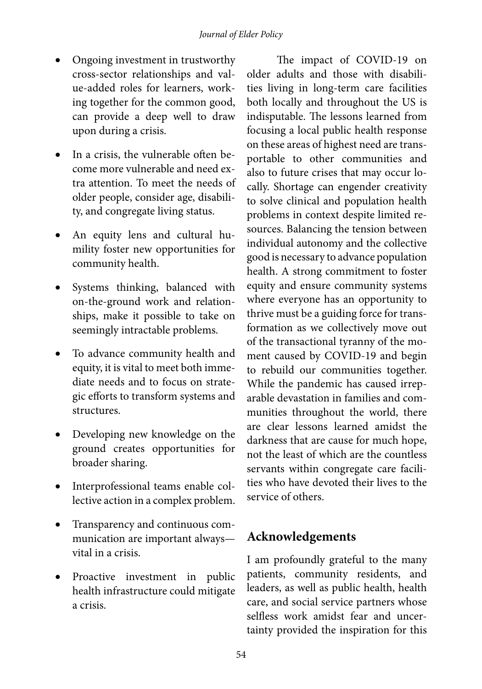- Ongoing investment in trustworthy cross-sector relationships and value-added roles for learners, working together for the common good, can provide a deep well to draw upon during a crisis.
- In a crisis, the vulnerable often become more vulnerable and need extra attention. To meet the needs of older people, consider age, disability, and congregate living status.
- An equity lens and cultural humility foster new opportunities for community health.
- Systems thinking, balanced with on-the-ground work and relationships, make it possible to take on seemingly intractable problems.
- To advance community health and equity, it is vital to meet both immediate needs and to focus on strategic efforts to transform systems and structures.
- Developing new knowledge on the ground creates opportunities for broader sharing.
- Interprofessional teams enable collective action in a complex problem.
- Transparency and continuous communication are important always vital in a crisis.
- Proactive investment in public health infrastructure could mitigate a crisis.

The impact of COVID-19 on older adults and those with disabilities living in long-term care facilities both locally and throughout the US is indisputable. The lessons learned from focusing a local public health response on these areas of highest need are transportable to other communities and also to future crises that may occur locally. Shortage can engender creativity to solve clinical and population health problems in context despite limited resources. Balancing the tension between individual autonomy and the collective good is necessary to advance population health. A strong commitment to foster equity and ensure community systems where everyone has an opportunity to thrive must be a guiding force for transformation as we collectively move out of the transactional tyranny of the moment caused by COVID-19 and begin to rebuild our communities together. While the pandemic has caused irreparable devastation in families and communities throughout the world, there are clear lessons learned amidst the darkness that are cause for much hope, not the least of which are the countless servants within congregate care facilities who have devoted their lives to the service of others.

# **Acknowledgements**

I am profoundly grateful to the many patients, community residents, and leaders, as well as public health, health care, and social service partners whose selfless work amidst fear and uncertainty provided the inspiration for this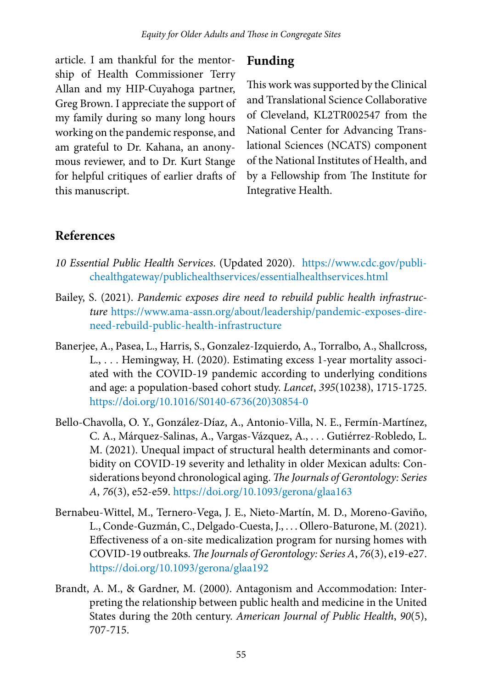article. I am thankful for the mentorship of Health Commissioner Terry Allan and my HIP-Cuyahoga partner, Greg Brown. I appreciate the support of my family during so many long hours working on the pandemic response, and am grateful to Dr. Kahana, an anonymous reviewer, and to Dr. Kurt Stange for helpful critiques of earlier drafts of this manuscript.

## **Funding**

This work was supported by the Clinical and Translational Science Collaborative of Cleveland, KL2TR002547 from the National Center for Advancing Translational Sciences (NCATS) component of the National Institutes of Health, and by a Fellowship from The Institute for Integrative Health.

# **References**

- *10 Essential Public Health Services*. (Updated 2020). [https://www.cdc.gov/publi](https://www.cdc.gov/publichealthgateway/publichealthservices/essentialhealthservices.html)[chealthgateway/publichealthservices/essentialhealthservices.html](https://www.cdc.gov/publichealthgateway/publichealthservices/essentialhealthservices.html)
- Bailey, S. (2021). *Pandemic exposes dire need to rebuild public health infrastructure* [https://www.ama-assn.org/about/leadership/pandemic-exposes-dire](https://www.ama-assn.org/about/leadership/pandemic-exposes-dire-need-rebuild-public-health-infrastructure)[need-rebuild-public-health-infrastructure](https://www.ama-assn.org/about/leadership/pandemic-exposes-dire-need-rebuild-public-health-infrastructure)
- Banerjee, A., Pasea, L., Harris, S., Gonzalez-Izquierdo, A., Torralbo, A., Shallcross, L., . . . Hemingway, H. (2020). Estimating excess 1-year mortality associated with the COVID-19 pandemic according to underlying conditions and age: a population-based cohort study. *Lancet*, *395*(10238), 1715-1725. [https://doi.org/10.1016/S0140-6736\(20\)30854-0](https://doi.org/10.1016/S0140-6736(20)30854-0)
- Bello-Chavolla, O. Y., González-Díaz, A., Antonio-Villa, N. E., Fermín-Martínez, C. A., Márquez-Salinas, A., Vargas-Vázquez, A., . . . Gutiérrez-Robledo, L. M. (2021). Unequal impact of structural health determinants and comorbidity on COVID-19 severity and lethality in older Mexican adults: Considerations beyond chronological aging. *The Journals of Gerontology: Series A*, *76*(3), e52-e59. <https://doi.org/10.1093/gerona/glaa163>
- Bernabeu-Wittel, M., Ternero-Vega, J. E., Nieto-Martín, M. D., Moreno-Gaviño, L., Conde-Guzmán, C., Delgado-Cuesta, J., . . . Ollero-Baturone, M. (2021). Effectiveness of a on-site medicalization program for nursing homes with COVID-19 outbreaks. *The Journals of Gerontology: Series A*, *76*(3), e19-e27. <https://doi.org/10.1093/gerona/glaa192>
- Brandt, A. M., & Gardner, M. (2000). Antagonism and Accommodation: Interpreting the relationship between public health and medicine in the United States during the 20th century. *American Journal of Public Health*, *90*(5), 707-715.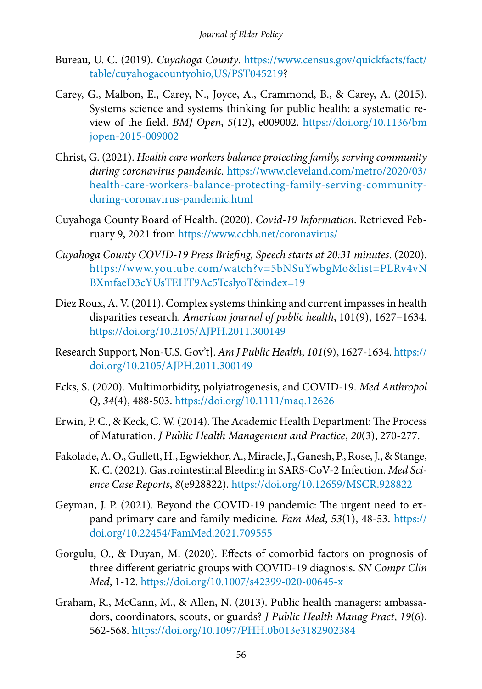- Bureau, U. C. (2019). *Cuyahoga County*. [https://www.census.gov/quickfacts/fact/](https://www.census.gov/quickfacts/fact/table/cuyahogacountyohio,US/PST045219) [table/cuyahogacountyohio,US/PST045219](https://www.census.gov/quickfacts/fact/table/cuyahogacountyohio,US/PST045219)?
- Carey, G., Malbon, E., Carey, N., Joyce, A., Crammond, B., & Carey, A. (2015). Systems science and systems thinking for public health: a systematic review of the field. *BMJ Open*, *5*(12), e009002. [https://doi.org/10.1136/bm](https://doi.org/10.1136/bmjopen-2015-009002) [jopen-2015-009002](https://doi.org/10.1136/bmjopen-2015-009002)
- Christ, G. (2021). *Health care workers balance protecting family, serving community during coronavirus pandemic*. [https://www.cleveland.com/metro/2020/03/](https://www.cleveland.com/metro/2020/03/health-care-workers-balance-protecting-family-serving-community-during-coronavirus-pandemic.html) [health-care-workers-balance-protecting-family-serving-community](https://www.cleveland.com/metro/2020/03/health-care-workers-balance-protecting-family-serving-community-during-coronavirus-pandemic.html)[during-coronavirus-pandemic.html](https://www.cleveland.com/metro/2020/03/health-care-workers-balance-protecting-family-serving-community-during-coronavirus-pandemic.html)
- Cuyahoga County Board of Health. (2020). *Covid-19 Information*. Retrieved February 9, 2021 from<https://www.ccbh.net/coronavirus/>
- *Cuyahoga County COVID-19 Press Briefing; Speech starts at 20:31 minutes*. (2020). [https://www.youtube.com/watch?v=5bNSuYwbgMo&list=PLRv4vN](https://www.youtube.com/watch?v=5bNSuYwbgMo&list=PLRv4vNBXmfaeD3cYUsTEHT9Ac5TcslyoT&index=19) [BXmfaeD3cYUsTEHT9Ac5TcslyoT&index=19](https://www.youtube.com/watch?v=5bNSuYwbgMo&list=PLRv4vNBXmfaeD3cYUsTEHT9Ac5TcslyoT&index=19)
- Diez Roux, A. V. (2011). Complex systems thinking and current impasses in health disparities research. *American journal of public health*, 101(9), 1627–1634. <https://doi.org/10.2105/AJPH.2011.300149>
- Research Support, Non-U.S. Gov't]. *Am J Public Health*, *101*(9), 1627-1634. [https://](https://doi.org/10.2105/AJPH.2011.300149) [doi.org/10.2105/AJPH.2011.300149](https://doi.org/10.2105/AJPH.2011.300149)
- Ecks, S. (2020). Multimorbidity, polyiatrogenesis, and COVID-19. *Med Anthropol Q*, *34*(4), 488-503. <https://doi.org/10.1111/maq.12626>
- Erwin, P. C., & Keck, C. W. (2014). The Academic Health Department: The Process of Maturation. *J Public Health Management and Practice*, *20*(3), 270-277.
- Fakolade, A. O., Gullett, H., Egwiekhor, A., Miracle, J., Ganesh, P., Rose, J., & Stange, K. C. (2021). Gastrointestinal Bleeding in SARS-CoV-2 Infection. *Med Science Case Reports*, *8*(e928822).<https://doi.org/10.12659/MSCR.928822>
- Geyman, J. P. (2021). Beyond the COVID-19 pandemic: The urgent need to expand primary care and family medicine. *Fam Med*, *53*(1), 48-53. [https://](https://doi.org/10.22454/FamMed.2021.709555) [doi.org/10.22454/FamMed.2021.709555](https://doi.org/10.22454/FamMed.2021.709555)
- Gorgulu, O., & Duyan, M. (2020). Effects of comorbid factors on prognosis of three different geriatric groups with COVID-19 diagnosis. *SN Compr Clin Med*, 1-12.<https://doi.org/10.1007/s42399-020-00645-x>
- Graham, R., McCann, M., & Allen, N. (2013). Public health managers: ambassadors, coordinators, scouts, or guards? *J Public Health Manag Pract*, *19*(6), 562-568. <https://doi.org/10.1097/PHH.0b013e3182902384>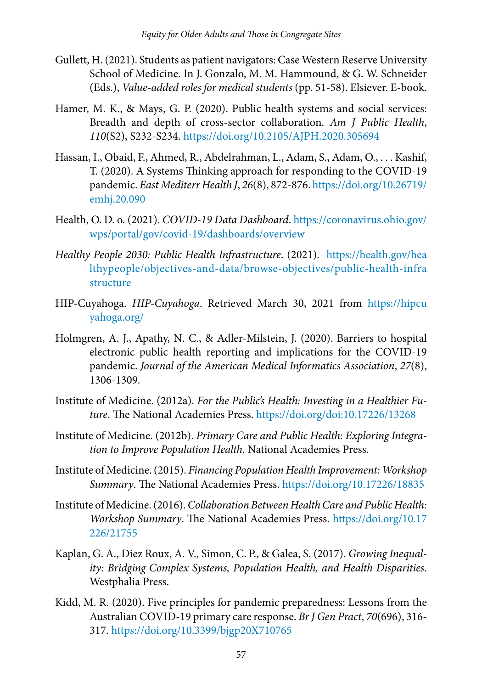- Gullett, H. (2021). Students as patient navigators: Case Western Reserve University School of Medicine. In J. Gonzalo, M. M. Hammound, & G. W. Schneider (Eds.), *Value-added roles for medical students* (pp. 51-58). Elsiever. E-book.
- Hamer, M. K., & Mays, G. P. (2020). Public health systems and social services: Breadth and depth of cross-sector collaboration. *Am J Public Health*, *110*(S2), S232-S234. <https://doi.org/10.2105/AJPH.2020.305694>
- Hassan, I., Obaid, F., Ahmed, R., Abdelrahman, L., Adam, S., Adam, O., . . . Kashif, T. (2020). A Systems Thinking approach for responding to the COVID-19 pandemic. *East Mediterr Health J*, *26*(8), 872-876. [https://doi.org/10.26719/](https://doi.org/10.26719/emhj.20.090) [emhj.20.090](https://doi.org/10.26719/emhj.20.090)
- Health, O. D. o. (2021). *COVID-19 Data Dashboard*. [https://coronavirus.ohio.gov/](https://coronavirus.ohio.gov/wps/portal/gov/covid-19/dashboards/overview) [wps/portal/gov/covid-19/dashboards/overview](https://coronavirus.ohio.gov/wps/portal/gov/covid-19/dashboards/overview)
- *Healthy People 2030: Public Health Infrastructure*. (2021). [https://health.gov/hea](https://health.gov/healthypeople/objectives-and-data/browse-objectives/public-health-infrastructure) [lthypeople/objectives-and-data/browse-objectives/public-health-infra](https://health.gov/healthypeople/objectives-and-data/browse-objectives/public-health-infrastructure) [structure](https://health.gov/healthypeople/objectives-and-data/browse-objectives/public-health-infrastructure)
- HIP-Cuyahoga. *HIP-Cuyahoga*. Retrieved March 30, 2021 from [https://hipcu](https://hipcuyahoga.org/) [yahoga.org/](https://hipcuyahoga.org/)
- Holmgren, A. J., Apathy, N. C., & Adler-Milstein, J. (2020). Barriers to hospital electronic public health reporting and implications for the COVID-19 pandemic. *Journal of the American Medical Informatics Association*, *27*(8), 1306-1309.
- Institute of Medicine. (2012a). *For the Public's Health: Investing in a Healthier Future*. The National Academies Press. <https://doi.org/doi:10.17226/13268>
- Institute of Medicine. (2012b). *Primary Care and Public Health: Exploring Integration to Improve Population Health*. National Academies Press.
- Institute of Medicine. (2015). *Financing Population Health Improvement: Workshop Summary*. The National Academies Press.<https://doi.org/10.17226/18835>
- Institute of Medicine. (2016). *Collaboration Between Health Care and Public Health: Workshop Summary*. The National Academies Press. [https://doi.org/10.17](https://doi.org/10.17226/21755) [226/21755](https://doi.org/10.17226/21755)
- Kaplan, G. A., Diez Roux, A. V., Simon, C. P., & Galea, S. (2017). *Growing Inequality: Bridging Complex Systems, Population Health, and Health Disparities*. Westphalia Press.
- Kidd, M. R. (2020). Five principles for pandemic preparedness: Lessons from the Australian COVID-19 primary care response. *Br J Gen Pract*, *70*(696), 316- 317.<https://doi.org/10.3399/bjgp20X710765>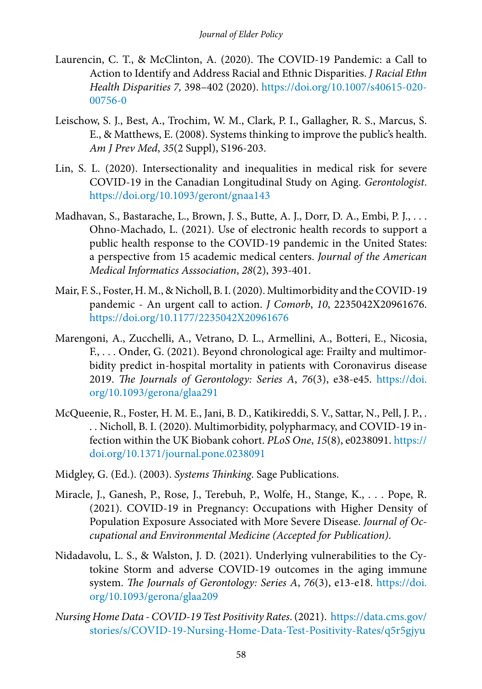- Laurencin, C. T., & McClinton, A. (2020). The COVID-19 Pandemic: a Call to Action to Identify and Address Racial and Ethnic Disparities. *J Racial Ethn Health Disparities 7,* 398–402 (2020). [https://doi.org/10.1007/s40615-020-](https://doi.org/10.1007/s40615-020-00756-0) [00756-0](https://doi.org/10.1007/s40615-020-00756-0)
- Leischow, S. J., Best, A., Trochim, W. M., Clark, P. I., Gallagher, R. S., Marcus, S. E., & Matthews, E. (2008). Systems thinking to improve the public's health. *Am J Prev Med*, *35*(2 Suppl), S196-203.
- Lin, S. L. (2020). Intersectionality and inequalities in medical risk for severe COVID-19 in the Canadian Longitudinal Study on Aging. *Gerontologist*. <https://doi.org/10.1093/geront/gnaa143>
- Madhavan, S., Bastarache, L., Brown, J. S., Butte, A. J., Dorr, D. A., Embi, P. J., . . . Ohno-Machado, L. (2021). Use of electronic health records to support a public health response to the COVID-19 pandemic in the United States: a perspective from 15 academic medical centers. *Journal of the American Medical Informatics Asssociation*, *28*(2), 393-401.
- Mair, F. S., Foster, H. M., & Nicholl, B. I. (2020). Multimorbidity and the COVID-19 pandemic - An urgent call to action. *J Comorb*, *10*, 2235042X20961676. <https://doi.org/10.1177/2235042X20961676>
- Marengoni, A., Zucchelli, A., Vetrano, D. L., Armellini, A., Botteri, E., Nicosia, F., . . . Onder, G. (2021). Beyond chronological age: Frailty and multimorbidity predict in-hospital mortality in patients with Coronavirus disease 2019. *The Journals of Gerontology: Series A*, *76*(3), e38-e45. [https://doi.](https://doi.org/10.1093/gerona/glaa291) [org/10.1093/gerona/glaa291](https://doi.org/10.1093/gerona/glaa291)
- McQueenie, R., Foster, H. M. E., Jani, B. D., Katikireddi, S. V., Sattar, N., Pell, J. P., . . . Nicholl, B. I. (2020). Multimorbidity, polypharmacy, and COVID-19 infection within the UK Biobank cohort. *PLoS One*, *15*(8), e0238091. [https://](https://doi.org/10.1371/journal.pone.0238091) [doi.org/10.1371/journal.pone.0238091](https://doi.org/10.1371/journal.pone.0238091)
- Midgley, G. (Ed.). (2003). *Systems Thinking*. Sage Publications.
- Miracle, J., Ganesh, P., Rose, J., Terebuh, P., Wolfe, H., Stange, K., . . . Pope, R. (2021). COVID-19 in Pregnancy: Occupations with Higher Density of Population Exposure Associated with More Severe Disease. *Journal of Occupational and Environmental Medicine (Accepted for Publication)*.
- Nidadavolu, L. S., & Walston, J. D. (2021). Underlying vulnerabilities to the Cytokine Storm and adverse COVID-19 outcomes in the aging immune system. *The Journals of Gerontology: Series A*, *76*(3), e13-e18. [https://doi.](https://doi.org/10.1093/gerona/glaa209) [org/10.1093/gerona/glaa209](https://doi.org/10.1093/gerona/glaa209)
- *Nursing Home Data COVID-19 Test Positivity Rates*. (2021). [https://data.cms.gov/](https://data.cms.gov/stories/s/COVID-19-Nursing-Home-Data-Test-Positivity-Rates/q5r5-gjyu) [stories/s/COVID-19-Nursing-Home-Data-Test-Positivity-Rates/q5r5gjyu](https://data.cms.gov/stories/s/COVID-19-Nursing-Home-Data-Test-Positivity-Rates/q5r5-gjyu)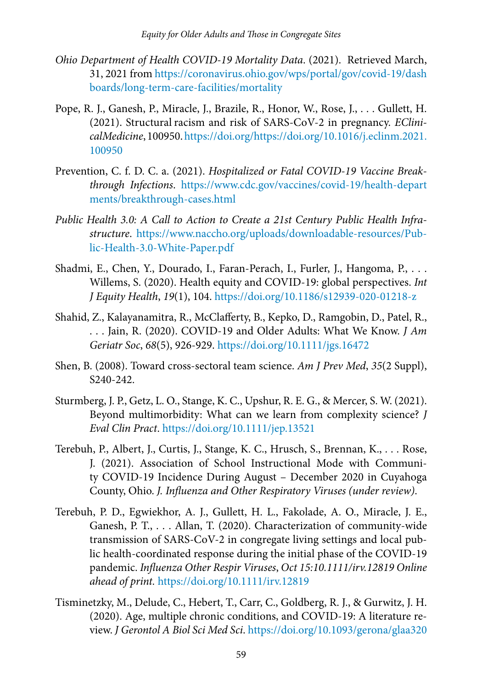- *Ohio Department of Health COVID-19 Mortality Data*. (2021). Retrieved March, 31, 2021 from [https://coronavirus.ohio.gov/wps/portal/gov/covid-19/dash](https://coronavirus.ohio.gov/wps/portal/gov/covid-19/dashboards/long-term-care-facilities/mortality) [boards/long-term-care-facilities/mortality](https://coronavirus.ohio.gov/wps/portal/gov/covid-19/dashboards/long-term-care-facilities/mortality)
- Pope, R. J., Ganesh, P., Miracle, J., Brazile, R., Honor, W., Rose, J., . . . Gullett, H. (2021). Structural racism and risk of SARS-CoV-2 in pregnancy. *EClinicalMedicine*, 100950. [https://doi.org/https://doi.org/10.1016/j.eclinm.2021.](https://doi.org/https://doi.org/10.1016/j.eclinm.2021.100950) [100950](https://doi.org/https://doi.org/10.1016/j.eclinm.2021.100950)
- Prevention, C. f. D. C. a. (2021). *Hospitalized or Fatal COVID-19 Vaccine Breakthrough Infections*. [https://www.cdc.gov/vaccines/covid-19/health-depart](https://www.cdc.gov/vaccines/covid-19/health-departments/breakthrough-cases.html) [ments/breakthrough-cases.html](https://www.cdc.gov/vaccines/covid-19/health-departments/breakthrough-cases.html)
- *Public Health 3.0: A Call to Action to Create a 21st Century Public Health Infrastructure*. [https://www.naccho.org/uploads/downloadable-resources/Pub](https://www.naccho.org/uploads/downloadable-resources/Public-Health-3.0-White-Paper.pdf)[lic-Health-3.0-White-Paper.pdf](https://www.naccho.org/uploads/downloadable-resources/Public-Health-3.0-White-Paper.pdf)
- Shadmi, E., Chen, Y., Dourado, I., Faran-Perach, I., Furler, J., Hangoma, P., . . . Willems, S. (2020). Health equity and COVID-19: global perspectives. *Int J Equity Health*, *19*(1), 104.<https://doi.org/10.1186/s12939-020-01218-z>
- Shahid, Z., Kalayanamitra, R., McClafferty, B., Kepko, D., Ramgobin, D., Patel, R., . . . Jain, R. (2020). COVID-19 and Older Adults: What We Know. *J Am Geriatr Soc*, *68*(5), 926-929.<https://doi.org/10.1111/jgs.16472>
- Shen, B. (2008). Toward cross-sectoral team science. *Am J Prev Med*, *35*(2 Suppl), S240-242.
- Sturmberg, J. P., Getz, L. O., Stange, K. C., Upshur, R. E. G., & Mercer, S. W. (2021). Beyond multimorbidity: What can we learn from complexity science? *J Eval Clin Pract*. <https://doi.org/10.1111/jep.13521>
- Terebuh, P., Albert, J., Curtis, J., Stange, K. C., Hrusch, S., Brennan, K., . . . Rose, J. (2021). Association of School Instructional Mode with Community COVID-19 Incidence During August – December 2020 in Cuyahoga County, Ohio. *J. Influenza and Other Respiratory Viruses (under review)*.
- Terebuh, P. D., Egwiekhor, A. J., Gullett, H. L., Fakolade, A. O., Miracle, J. E., Ganesh, P. T., . . . Allan, T. (2020). Characterization of community-wide transmission of SARS-CoV-2 in congregate living settings and local public health-coordinated response during the initial phase of the COVID-19 pandemic. *Influenza Other Respir Viruses*, *Oct 15:10.1111/irv.12819 Online ahead of print.* <https://doi.org/10.1111/irv.12819>
- Tisminetzky, M., Delude, C., Hebert, T., Carr, C., Goldberg, R. J., & Gurwitz, J. H. (2020). Age, multiple chronic conditions, and COVID-19: A literature review. *J Gerontol A Biol Sci Med Sci*.<https://doi.org/10.1093/gerona/glaa320>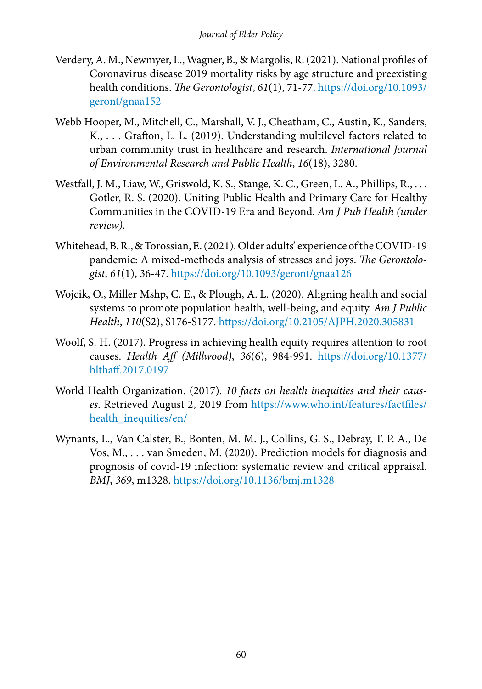- Verdery, A. M., Newmyer, L., Wagner, B., & Margolis, R. (2021). National profiles of Coronavirus disease 2019 mortality risks by age structure and preexisting health conditions. *The Gerontologist*, *61*(1), 71-77. [https://doi.org/10.1093/](https://doi.org/10.1093/geront/gnaa152) [geront/gnaa152](https://doi.org/10.1093/geront/gnaa152)
- Webb Hooper, M., Mitchell, C., Marshall, V. J., Cheatham, C., Austin, K., Sanders, K., . . . Grafton, L. L. (2019). Understanding multilevel factors related to urban community trust in healthcare and research. *International Journal of Environmental Research and Public Health*, *16*(18), 3280.
- Westfall, J. M., Liaw, W., Griswold, K. S., Stange, K. C., Green, L. A., Phillips, R., . . . Gotler, R. S. (2020). Uniting Public Health and Primary Care for Healthy Communities in the COVID-19 Era and Beyond. *Am J Pub Health (under review)*.
- Whitehead, B. R., & Torossian, E. (2021). Older adults' experience of the COVID-19 pandemic: A mixed-methods analysis of stresses and joys. *The Gerontologist*, *61*(1), 36-47. <https://doi.org/10.1093/geront/gnaa126>
- Wojcik, O., Miller Mshp, C. E., & Plough, A. L. (2020). Aligning health and social systems to promote population health, well-being, and equity. *Am J Public Health*, *110*(S2), S176-S177. <https://doi.org/10.2105/AJPH.2020.305831>
- Woolf, S. H. (2017). Progress in achieving health equity requires attention to root causes. *Health Aff (Millwood)*, *36*(6), 984-991. [https://doi.org/10.1377/](https://doi.org/10.1377/hlthaff.2017.0197) [hlthaff.2017.0197](https://doi.org/10.1377/hlthaff.2017.0197)
- World Health Organization. (2017). *10 facts on health inequities and their causes*. Retrieved August 2, 2019 from [https://www.who.int/features/factfiles/](https://www.who.int/features/factfiles/health_inequities/en/) [health\\_inequities/en/](https://www.who.int/features/factfiles/health_inequities/en/)
- Wynants, L., Van Calster, B., Bonten, M. M. J., Collins, G. S., Debray, T. P. A., De Vos, M., . . . van Smeden, M. (2020). Prediction models for diagnosis and prognosis of covid-19 infection: systematic review and critical appraisal. *BMJ*, *369*, m1328.<https://doi.org/10.1136/bmj.m1328>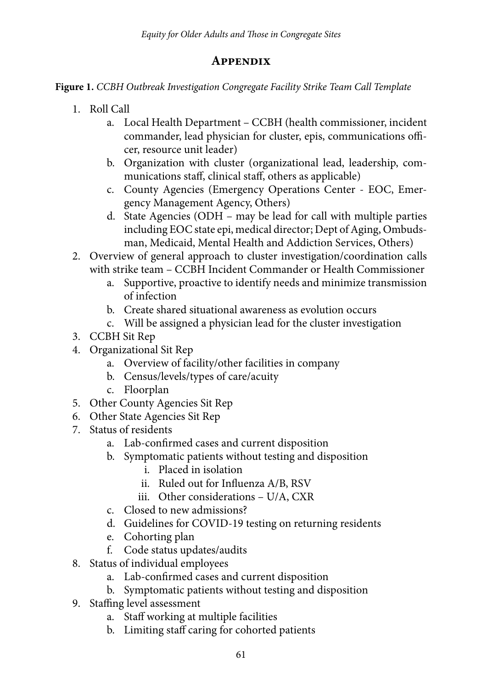## **Appendix**

**Figure 1.** *CCBH Outbreak Investigation Congregate Facility Strike Team Call Template*

- 1. Roll Call
	- a. Local Health Department CCBH (health commissioner, incident commander, lead physician for cluster, epis, communications officer, resource unit leader)
	- b. Organization with cluster (organizational lead, leadership, communications staff, clinical staff, others as applicable)
	- c. County Agencies (Emergency Operations Center EOC, Emergency Management Agency, Others)
	- d. State Agencies (ODH may be lead for call with multiple parties including EOC state epi, medical director; Dept of Aging, Ombudsman, Medicaid, Mental Health and Addiction Services, Others)
- 2. Overview of general approach to cluster investigation/coordination calls with strike team – CCBH Incident Commander or Health Commissioner
	- a. Supportive, proactive to identify needs and minimize transmission of infection
	- b. Create shared situational awareness as evolution occurs
	- c. Will be assigned a physician lead for the cluster investigation
- 3. CCBH Sit Rep
- 4. Organizational Sit Rep
	- a. Overview of facility/other facilities in company
	- b. Census/levels/types of care/acuity
	- c. Floorplan
- 5. Other County Agencies Sit Rep
- 6. Other State Agencies Sit Rep
- 7. Status of residents
	- a. Lab-confirmed cases and current disposition
	- b. Symptomatic patients without testing and disposition
		- i. Placed in isolation
		- ii. Ruled out for Influenza A/B, RSV
		- iii. Other considerations U/A, CXR
	- c. Closed to new admissions?
	- d. Guidelines for COVID-19 testing on returning residents
	- e. Cohorting plan
	- f. Code status updates/audits
- 8. Status of individual employees
	- a. Lab-confirmed cases and current disposition
	- b. Symptomatic patients without testing and disposition
- 9. Staffing level assessment
	- a. Staff working at multiple facilities
	- b. Limiting staff caring for cohorted patients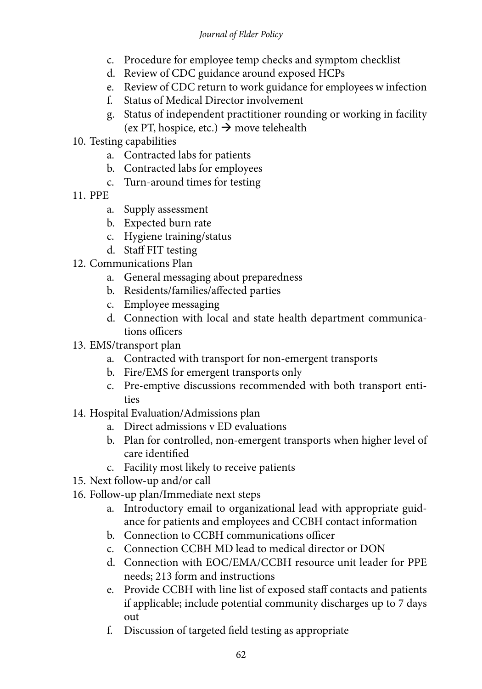#### *Journal of Elder Policy*

- c. Procedure for employee temp checks and symptom checklist
- d. Review of CDC guidance around exposed HCPs
- e. Review of CDC return to work guidance for employees w infection
- f. Status of Medical Director involvement
- g. Status of independent practitioner rounding or working in facility (ex PT, hospice, etc.)  $\rightarrow$  move telehealth
- 10. Testing capabilities
	- a. Contracted labs for patients
	- b. Contracted labs for employees
	- c. Turn-around times for testing
- 11. PPE
	- a. Supply assessment
	- b. Expected burn rate
	- c. Hygiene training/status
	- d. Staff FIT testing
- 12. Communications Plan
	- a. General messaging about preparedness
	- b. Residents/families/affected parties
	- c. Employee messaging
	- d. Connection with local and state health department communications officers
- 13. EMS/transport plan
	- a. Contracted with transport for non-emergent transports
	- b. Fire/EMS for emergent transports only
	- c. Pre-emptive discussions recommended with both transport entities
- 14. Hospital Evaluation/Admissions plan
	- a. Direct admissions v ED evaluations
	- b. Plan for controlled, non-emergent transports when higher level of care identified
	- c. Facility most likely to receive patients
- 15. Next follow-up and/or call
- 16. Follow-up plan/Immediate next steps
	- a. Introductory email to organizational lead with appropriate guidance for patients and employees and CCBH contact information
	- b. Connection to CCBH communications officer
	- c. Connection CCBH MD lead to medical director or DON
	- d. Connection with EOC/EMA/CCBH resource unit leader for PPE needs; 213 form and instructions
	- e. Provide CCBH with line list of exposed staff contacts and patients if applicable; include potential community discharges up to 7 days out
	- f. Discussion of targeted field testing as appropriate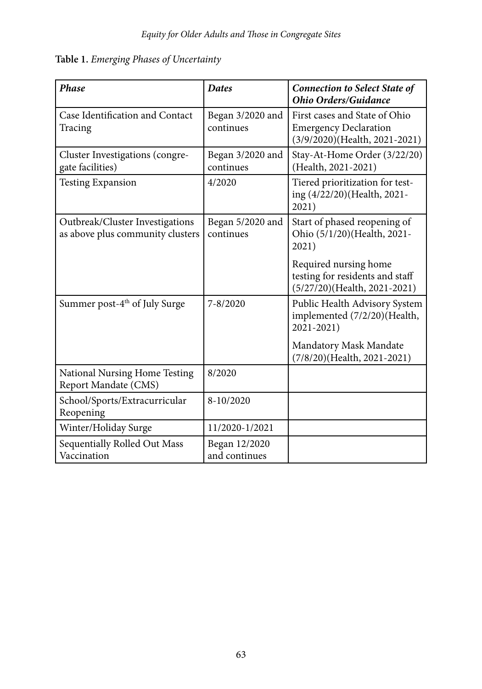#### **Table 1.** *Emerging Phases of Uncertainty*

| <b>Phase</b>                                                        | <b>Dates</b>                   | <b>Connection to Select State of</b><br><b>Ohio Orders/Guidance</b>                            |
|---------------------------------------------------------------------|--------------------------------|------------------------------------------------------------------------------------------------|
| Case Identification and Contact<br>Tracing                          | Began 3/2020 and<br>continues  | First cases and State of Ohio<br><b>Emergency Declaration</b><br>(3/9/2020)(Health, 2021-2021) |
| Cluster Investigations (congre-<br>gate facilities)                 | Began 3/2020 and<br>continues  | Stay-At-Home Order (3/22/20)<br>(Health, 2021-2021)                                            |
| <b>Testing Expansion</b>                                            | 4/2020                         | Tiered prioritization for test-<br>ing (4/22/20)(Health, 2021-<br>2021)                        |
| Outbreak/Cluster Investigations<br>as above plus community clusters | Began 5/2020 and<br>continues  | Start of phased reopening of<br>Ohio (5/1/20)(Health, 2021-<br>2021)                           |
|                                                                     |                                | Required nursing home<br>testing for residents and staff<br>(5/27/20)(Health, 2021-2021)       |
| Summer post-4 <sup>th</sup> of July Surge                           | $7 - 8/2020$                   | Public Health Advisory System<br>implemented (7/2/20)(Health,<br>2021-2021)                    |
|                                                                     |                                | Mandatory Mask Mandate<br>(7/8/20)(Health, 2021-2021)                                          |
| National Nursing Home Testing<br>Report Mandate (CMS)               | 8/2020                         |                                                                                                |
| School/Sports/Extracurricular<br>Reopening                          | 8-10/2020                      |                                                                                                |
| Winter/Holiday Surge                                                | 11/2020-1/2021                 |                                                                                                |
| Sequentially Rolled Out Mass<br>Vaccination                         | Began 12/2020<br>and continues |                                                                                                |